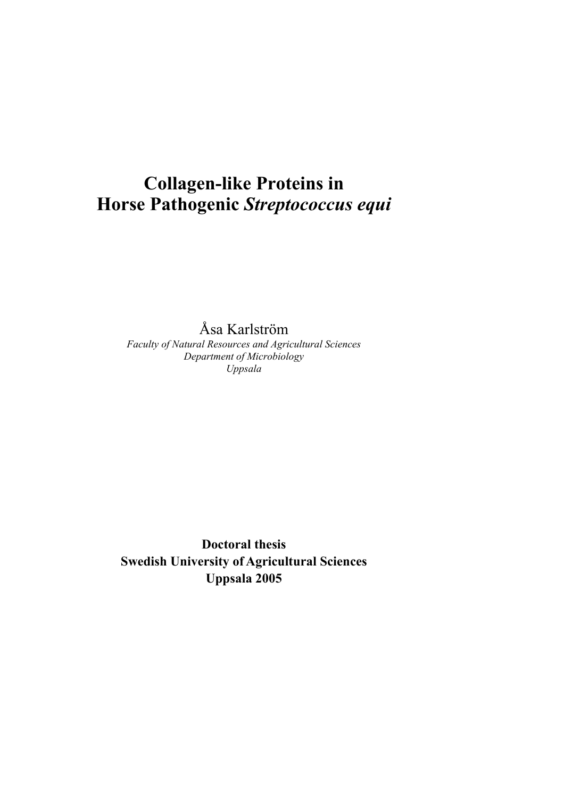# **Collagen-like Proteins in Horse Pathogenic** *Streptococcus equi*

Åsa Karlström

*Faculty of Natural Resources and Agricultural Sciences Department of Microbiology Uppsala* 

**Doctoral thesis Swedish University of Agricultural Sciences Uppsala 2005**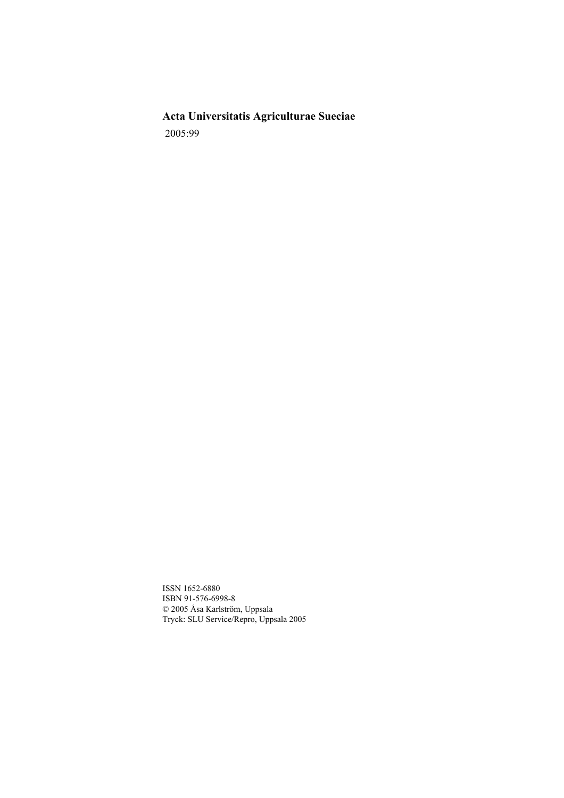**Acta Universitatis Agriculturae Sueciae**  2005:99

ISSN 1652-6880 ISBN 91-576-6998-8 © 2005 Åsa Karlström, Uppsala Tryck: SLU Service/Repro, Uppsala 2005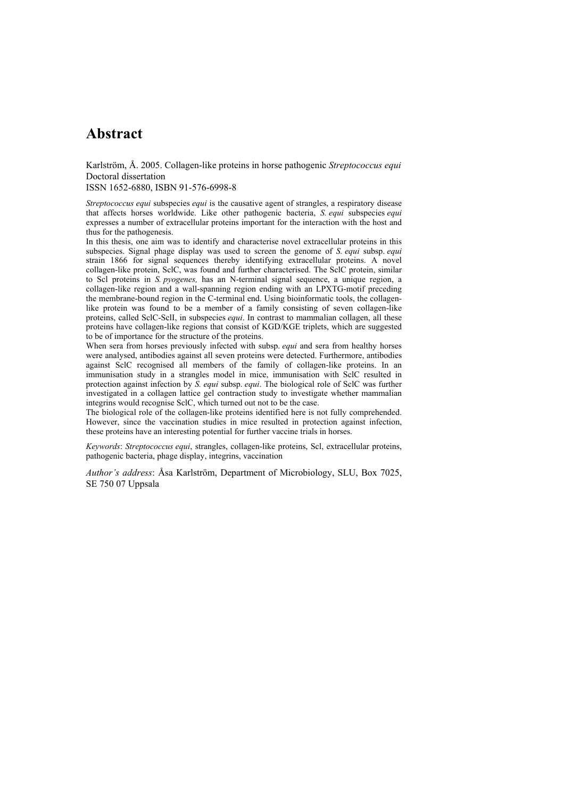## **Abstract**

Karlström, Å. 2005. Collagen-like proteins in horse pathogenic *Streptococcus equi*  Doctoral dissertation

ISSN 1652-6880, ISBN 91-576-6998-8

*Streptococcus equi* subspecies *equi* is the causative agent of strangles, a respiratory disease that affects horses worldwide. Like other pathogenic bacteria, *S. equi* subspecies *equi* expresses a number of extracellular proteins important for the interaction with the host and thus for the pathogenesis.

In this thesis, one aim was to identify and characterise novel extracellular proteins in this subspecies. Signal phage display was used to screen the genome of *S. equi* subsp. *equi* strain 1866 for signal sequences thereby identifying extracellular proteins. A novel collagen-like protein, SclC, was found and further characterised. The SclC protein, similar to Scl proteins in *S. pyogenes,* has an N-terminal signal sequence, a unique region, a collagen-like region and a wall-spanning region ending with an LPXTG-motif preceding the membrane-bound region in the C-terminal end. Using bioinformatic tools, the collagenlike protein was found to be a member of a family consisting of seven collagen-like proteins, called SclC-SclI, in subspecies *equi*. In contrast to mammalian collagen, all these proteins have collagen-like regions that consist of KGD/KGE triplets, which are suggested to be of importance for the structure of the proteins.

When sera from horses previously infected with subsp. *equi* and sera from healthy horses were analysed, antibodies against all seven proteins were detected. Furthermore, antibodies against SclC recognised all members of the family of collagen-like proteins. In an immunisation study in a strangles model in mice, immunisation with SclC resulted in protection against infection by *S. equi* subsp. *equi*. The biological role of SclC was further investigated in a collagen lattice gel contraction study to investigate whether mammalian integrins would recognise SclC, which turned out not to be the case.

The biological role of the collagen-like proteins identified here is not fully comprehended. However, since the vaccination studies in mice resulted in protection against infection, these proteins have an interesting potential for further vaccine trials in horses.

*Keywords*: *Streptococcus equi*, strangles, collagen-like proteins, Scl, extracellular proteins, pathogenic bacteria, phage display, integrins, vaccination

*Author's address*: Åsa Karlström, Department of Microbiology, SLU, Box 7025, SE 750 07 Uppsala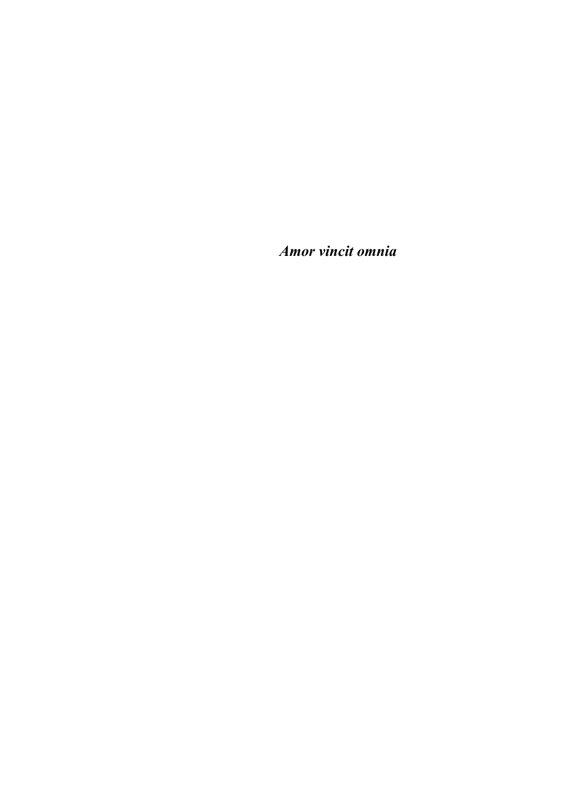*Amor vincit omnia*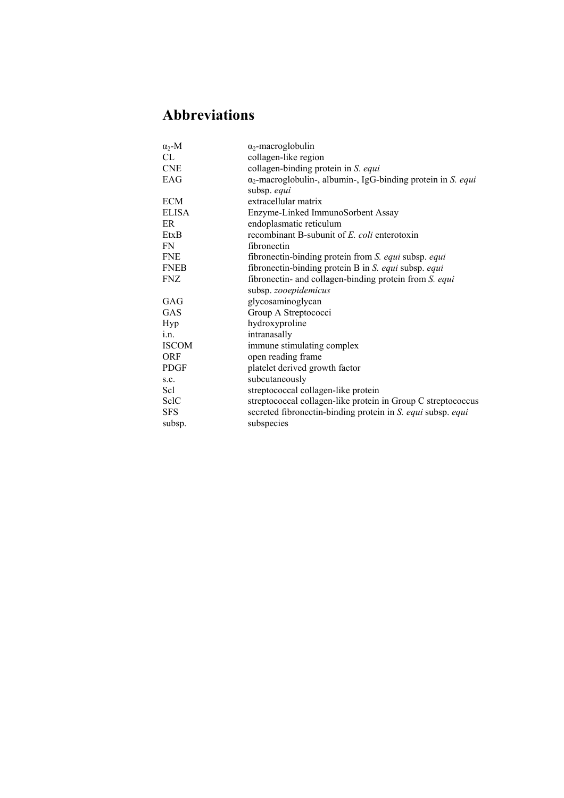# **Abbreviations**

| $\alpha_2$ -M | $\alpha_2$ -macroglobulin                                            |
|---------------|----------------------------------------------------------------------|
| CL.           | collagen-like region                                                 |
| <b>CNE</b>    | collagen-binding protein in S. equi                                  |
| EAG           | $\alpha_2$ -macroglobulin-, albumin-, IgG-binding protein in S. equi |
|               | subsp. equi                                                          |
| <b>ECM</b>    | extracellular matrix                                                 |
| <b>ELISA</b>  | Enzyme-Linked ImmunoSorbent Assay                                    |
| ER            | endoplasmatic reticulum                                              |
| EtxB          | recombinant B-subunit of E. coli enterotoxin                         |
| FN.           | fibronectin                                                          |
| <b>FNE</b>    | fibronectin-binding protein from S. equi subsp. equi                 |
| <b>FNEB</b>   | fibronectin-binding protein B in S. equi subsp. equi                 |
| <b>FNZ</b>    | fibronectin- and collagen-binding protein from S. equi               |
|               | subsp. zooepidemicus                                                 |
| GAG           | glycosaminoglycan                                                    |
| GAS           | Group A Streptococci                                                 |
| Hyp           | hydroxyproline                                                       |
| i.n.          | intranasally                                                         |
| <b>ISCOM</b>  | immune stimulating complex                                           |
| <b>ORF</b>    | open reading frame                                                   |
| <b>PDGF</b>   | platelet derived growth factor                                       |
| S.C.          | subcutaneously                                                       |
| Scl           | streptococcal collagen-like protein                                  |
| SelC          | streptococcal collagen-like protein in Group C streptococcus         |
| <b>SFS</b>    | secreted fibronectin-binding protein in S. equi subsp. equi          |
| subsp.        | subspecies                                                           |
|               |                                                                      |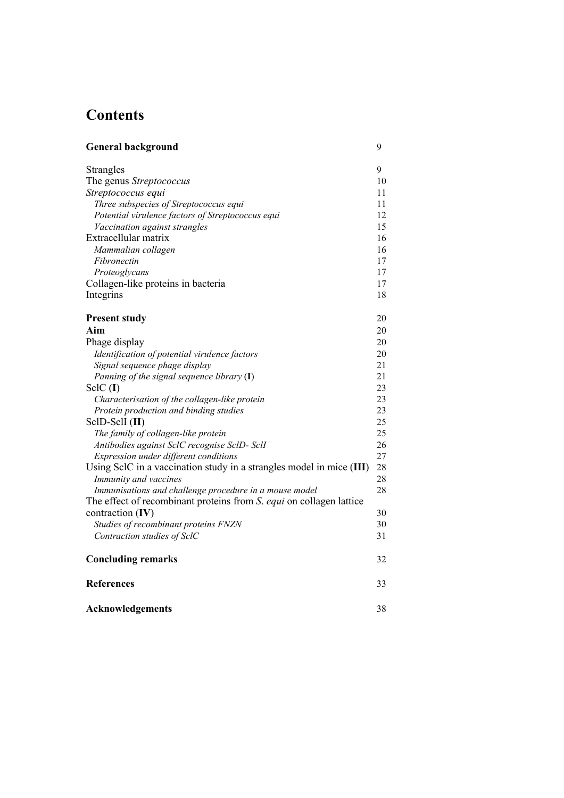# **Contents**

| <b>General background</b>                                            | 9  |
|----------------------------------------------------------------------|----|
| <b>Strangles</b>                                                     | 9  |
| The genus Streptococcus                                              | 10 |
| Streptococcus equi                                                   | 11 |
| Three subspecies of Streptococcus equi                               | 11 |
| Potential virulence factors of Streptococcus equi                    | 12 |
| Vaccination against strangles                                        | 15 |
| Extracellular matrix                                                 | 16 |
| Mammalian collagen                                                   | 16 |
| Fibronectin                                                          | 17 |
| Proteoglycans                                                        | 17 |
| Collagen-like proteins in bacteria                                   | 17 |
| Integrins                                                            | 18 |
| <b>Present study</b>                                                 | 20 |
| Aim                                                                  | 20 |
| Phage display                                                        | 20 |
| Identification of potential virulence factors                        | 20 |
| Signal sequence phage display                                        | 21 |
| Panning of the signal sequence library $(I)$                         | 21 |
| $SclC$ (I)                                                           | 23 |
| Characterisation of the collagen-like protein                        | 23 |
| Protein production and binding studies                               | 23 |
| ScID-ScII (II)                                                       | 25 |
| The family of collagen-like protein                                  | 25 |
| Antibodies against SclC recognise SclD- SclI                         | 26 |
| Expression under different conditions                                | 27 |
| Using SclC in a vaccination study in a strangles model in mice (III) | 28 |
| Immunity and vaccines                                                | 28 |
| Immunisations and challenge procedure in a mouse model               | 28 |
| The effect of recombinant proteins from S. equi on collagen lattice  |    |
| contraction (IV)                                                     | 30 |
| Studies of recombinant proteins FNZN                                 | 30 |
| Contraction studies of SclC                                          | 31 |
| <b>Concluding remarks</b>                                            | 32 |
| <b>References</b>                                                    | 33 |
| <b>Acknowledgements</b>                                              | 38 |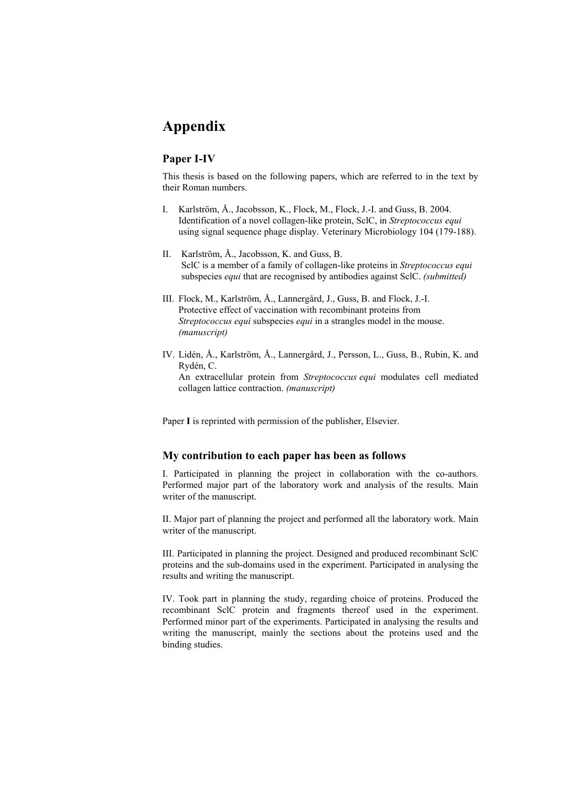## **Appendix**

## **Paper I-IV**

This thesis is based on the following papers, which are referred to in the text by their Roman numbers.

- I. Karlström, Å., Jacobsson, K., Flock, M., Flock, J.-I. and Guss, B. 2004. Identification of a novel collagen-like protein, SclC, in *Streptococcus equi* using signal sequence phage display. Veterinary Microbiology 104 (179-188).
- II. Karlström, Å., Jacobsson, K. and Guss, B. SclC is a member of a family of collagen-like proteins in *Streptococcus equi* subspecies *equi* that are recognised by antibodies against SclC. *(submitted)*
- III. Flock, M., Karlström, Å., Lannergård, J., Guss, B. and Flock, J.-I. Protective effect of vaccination with recombinant proteins from *Streptococcus equi* subspecies *equi* in a strangles model in the mouse. *(manuscript)*
- IV. Lidén, Å., Karlström, Å., Lannergård, J., Persson, L., Guss, B., Rubin, K. and Rydén, C. An extracellular protein from *Streptococcus equi* modulates cell mediated collagen lattice contraction. *(manuscript)*

Paper **I** is reprinted with permission of the publisher, Elsevier.

## **My contribution to each paper has been as follows**

I. Participated in planning the project in collaboration with the co-authors. Performed major part of the laboratory work and analysis of the results. Main writer of the manuscript.

II. Major part of planning the project and performed all the laboratory work. Main writer of the manuscript.

III. Participated in planning the project. Designed and produced recombinant SclC proteins and the sub-domains used in the experiment. Participated in analysing the results and writing the manuscript.

IV. Took part in planning the study, regarding choice of proteins. Produced the recombinant SclC protein and fragments thereof used in the experiment. Performed minor part of the experiments. Participated in analysing the results and writing the manuscript, mainly the sections about the proteins used and the binding studies.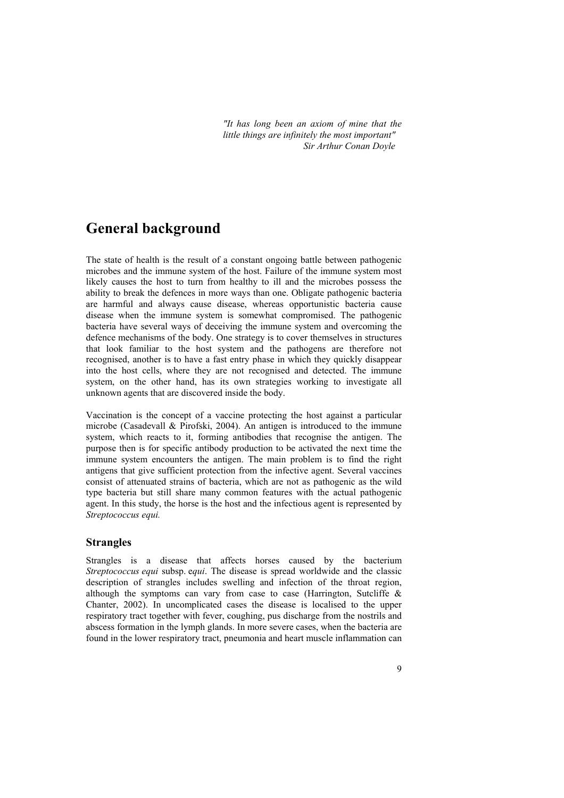*"It has long been an axiom of mine that the little things are infinitely the most important" Sir Arthur Conan Doyle*

## **General background**

The state of health is the result of a constant ongoing battle between pathogenic microbes and the immune system of the host. Failure of the immune system most likely causes the host to turn from healthy to ill and the microbes possess the ability to break the defences in more ways than one. Obligate pathogenic bacteria are harmful and always cause disease, whereas opportunistic bacteria cause disease when the immune system is somewhat compromised. The pathogenic bacteria have several ways of deceiving the immune system and overcoming the defence mechanisms of the body. One strategy is to cover themselves in structures that look familiar to the host system and the pathogens are therefore not recognised, another is to have a fast entry phase in which they quickly disappear into the host cells, where they are not recognised and detected. The immune system, on the other hand, has its own strategies working to investigate all unknown agents that are discovered inside the body.

Vaccination is the concept of a vaccine protecting the host against a particular microbe (Casadevall & Pirofski, 2004). An antigen is introduced to the immune system, which reacts to it, forming antibodies that recognise the antigen. The purpose then is for specific antibody production to be activated the next time the immune system encounters the antigen. The main problem is to find the right antigens that give sufficient protection from the infective agent. Several vaccines consist of attenuated strains of bacteria, which are not as pathogenic as the wild type bacteria but still share many common features with the actual pathogenic agent. In this study, the horse is the host and the infectious agent is represented by *Streptococcus equi.*

### **Strangles**

Strangles is a disease that affects horses caused by the bacterium *Streptococcus equi* subsp. e*qui*. The disease is spread worldwide and the classic description of strangles includes swelling and infection of the throat region, although the symptoms can vary from case to case (Harrington, Sutcliffe  $\&$ Chanter, 2002). In uncomplicated cases the disease is localised to the upper respiratory tract together with fever, coughing, pus discharge from the nostrils and abscess formation in the lymph glands. In more severe cases, when the bacteria are found in the lower respiratory tract, pneumonia and heart muscle inflammation can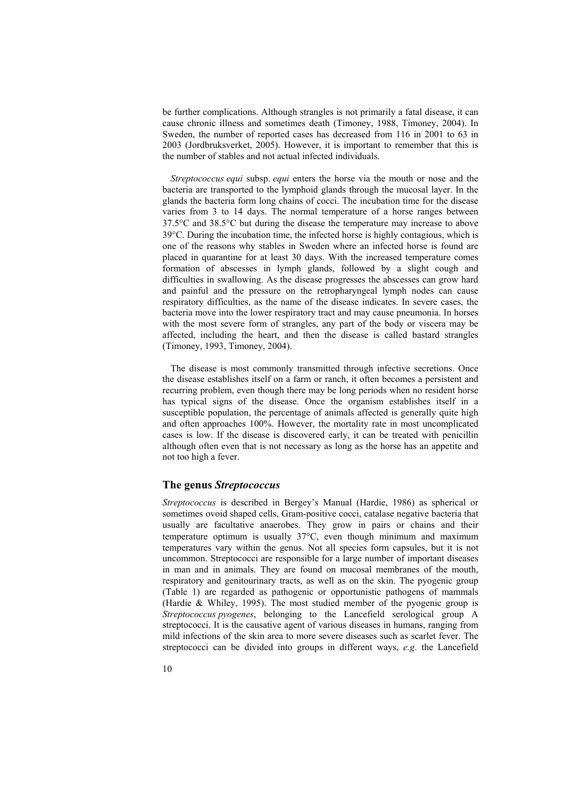be further complications. Although strangles is not primarily a fatal disease, it can cause chronic illness and sometimes death (Timoney, 1988, Timoney, 2004). In Sweden, the number of reported cases has decreased from 116 in 2001 to 63 in 2003 (Jordbruksverket, 2005). However, it is important to remember that this is the number of stables and not actual infected individuals.

*Streptococcus equi* subsp. *equi* enters the horse via the mouth or nose and the bacteria are transported to the lymphoid glands through the mucosal layer. In the glands the bacteria form long chains of cocci. The incubation time for the disease varies from 3 to 14 days. The normal temperature of a horse ranges between 37.5°C and 38.5°C but during the disease the temperature may increase to above 39°C. During the incubation time, the infected horse is highly contagious, which is one of the reasons why stables in Sweden where an infected horse is found are placed in quarantine for at least 30 days. With the increased temperature comes formation of abscesses in lymph glands, followed by a slight cough and difficulties in swallowing. As the disease progresses the abscesses can grow hard and painful and the pressure on the retropharyngeal lymph nodes can cause respiratory difficulties, as the name of the disease indicates. In severe cases, the bacteria move into the lower respiratory tract and may cause pneumonia. In horses with the most severe form of strangles, any part of the body or viscera may be affected, including the heart, and then the disease is called bastard strangles (Timoney, 1993, Timoney, 2004).

The disease is most commonly transmitted through infective secretions. Once the disease establishes itself on a farm or ranch, it often becomes a persistent and recurring problem, even though there may be long periods when no resident horse has typical signs of the disease. Once the organism establishes itself in a susceptible population, the percentage of animals affected is generally quite high and often approaches 100%. However, the mortality rate in most uncomplicated cases is low. If the disease is discovered early, it can be treated with penicillin although often even that is not necessary as long as the horse has an appetite and not too high a fever.

### **The genus** *Streptococcus*

*Streptococcus* is described in Bergey's Manual (Hardie, 1986) as spherical or sometimes ovoid shaped cells, Gram-positive cocci, catalase negative bacteria that usually are facultative anaerobes. They grow in pairs or chains and their temperature optimum is usually 37°C, even though minimum and maximum temperatures vary within the genus. Not all species form capsules, but it is not uncommon. Streptococci are responsible for a large number of important diseases in man and in animals. They are found on mucosal membranes of the mouth, respiratory and genitourinary tracts, as well as on the skin. The pyogenic group (Table 1) are regarded as pathogenic or opportunistic pathogens of mammals (Hardie & Whiley, 1995). The most studied member of the pyogenic group is *Streptococcus pyogenes*, belonging to the Lancefield serological group A streptococci. It is the causative agent of various diseases in humans, ranging from mild infections of the skin area to more severe diseases such as scarlet fever. The streptococci can be divided into groups in different ways, *e.g*. the Lancefield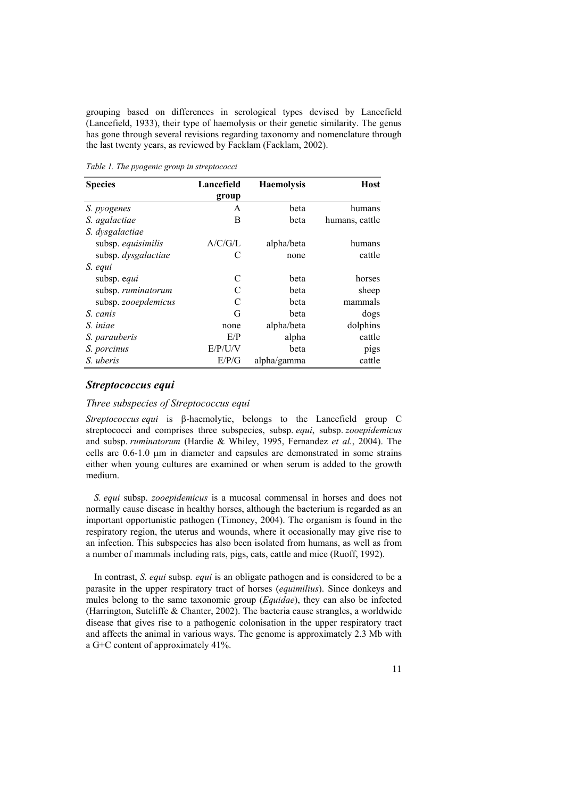grouping based on differences in serological types devised by Lancefield (Lancefield, 1933), their type of haemolysis or their genetic similarity. The genus has gone through several revisions regarding taxonomy and nomenclature through the last twenty years, as reviewed by Facklam (Facklam, 2002).

*Table 1. The pyogenic group in streptococci* 

| <b>Species</b>      | Lancefield | <b>Haemolysis</b> | Host           |
|---------------------|------------|-------------------|----------------|
|                     | group      |                   |                |
| S. pyogenes         | A          | beta              | humans         |
| S. agalactiae       | В          | beta              | humans, cattle |
| S. dysgalactiae     |            |                   |                |
| subsp. equisimilis  | A/C/G/L    | alpha/beta        | humans         |
| subsp. dysgalactiae | €          | none              | cattle         |
| S. equi             |            |                   |                |
| subsp. equi         | C          | beta              | horses         |
| subsp. ruminatorum  |            | beta              | sheep          |
| subsp. zooepdemicus | C          | beta              | mammals        |
| S. canis            | G          | beta              | dogs           |
| S. iniae            | none       | alpha/beta        | dolphins       |
| S. parauberis       | E/P        | alpha             | cattle         |
| S. porcinus         | E/P/UV     | beta              | pigs           |
| S. uberis           | E/P/G      | alpha/gamma       | cattle         |

#### *Streptococcus equi*

#### *Three subspecies of Streptococcus equi*

*Streptococcus equi* is β-haemolytic, belongs to the Lancefield group C streptococci and comprises three subspecies, subsp. *equi*, subsp. *zooepidemicus* and subsp. *ruminatorum* (Hardie & Whiley, 1995, Fernandez *et al.*, 2004). The cells are 0.6-1.0 µm in diameter and capsules are demonstrated in some strains either when young cultures are examined or when serum is added to the growth medium.

*S. equi* subsp. *zooepidemicus* is a mucosal commensal in horses and does not normally cause disease in healthy horses, although the bacterium is regarded as an important opportunistic pathogen (Timoney, 2004). The organism is found in the respiratory region, the uterus and wounds, where it occasionally may give rise to an infection. This subspecies has also been isolated from humans, as well as from a number of mammals including rats, pigs, cats, cattle and mice (Ruoff, 1992).

In contrast, *S. equi* subsp*. equi* is an obligate pathogen and is considered to be a parasite in the upper respiratory tract of horses (*equimilius*). Since donkeys and mules belong to the same taxonomic group (*Equidae*), they can also be infected (Harrington, Sutcliffe & Chanter, 2002). The bacteria cause strangles, a worldwide disease that gives rise to a pathogenic colonisation in the upper respiratory tract and affects the animal in various ways. The genome is approximately 2.3 Mb with a G+C content of approximately 41%.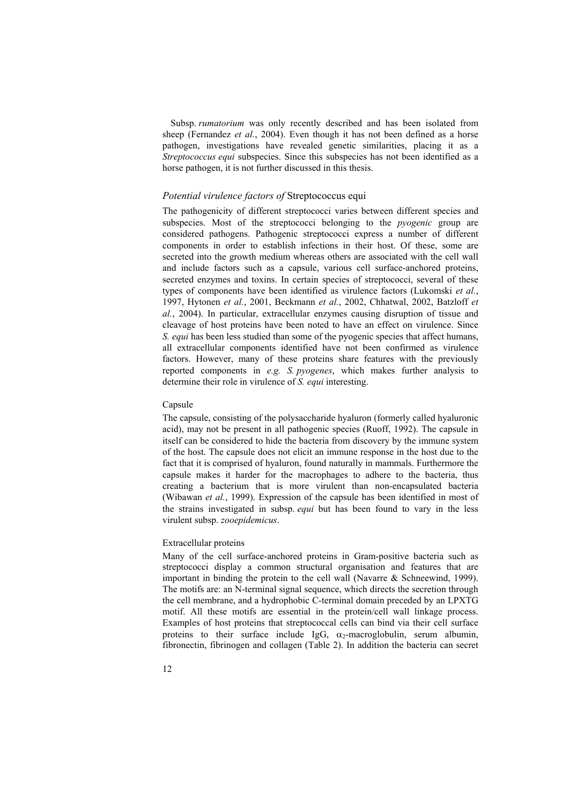Subsp. *rumatorium* was only recently described and has been isolated from sheep (Fernandez *et al.*, 2004). Even though it has not been defined as a horse pathogen, investigations have revealed genetic similarities, placing it as a *Streptococcus equi* subspecies. Since this subspecies has not been identified as a horse pathogen, it is not further discussed in this thesis.

#### *Potential virulence factors of* Streptococcus equi

The pathogenicity of different streptococci varies between different species and subspecies. Most of the streptococci belonging to the *pyogenic* group are considered pathogens. Pathogenic streptococci express a number of different components in order to establish infections in their host. Of these, some are secreted into the growth medium whereas others are associated with the cell wall and include factors such as a capsule, various cell surface-anchored proteins, secreted enzymes and toxins. In certain species of streptococci, several of these types of components have been identified as virulence factors (Lukomski *et al.*, 1997, Hytonen *et al.*, 2001, Beckmann *et al.*, 2002, Chhatwal, 2002, Batzloff *et al.*, 2004). In particular, extracellular enzymes causing disruption of tissue and cleavage of host proteins have been noted to have an effect on virulence. Since *S. equi* has been less studied than some of the pyogenic species that affect humans, all extracellular components identified have not been confirmed as virulence factors. However, many of these proteins share features with the previously reported components in *e.g. S. pyogenes*, which makes further analysis to determine their role in virulence of *S. equi* interesting.

#### Capsule

The capsule, consisting of the polysaccharide hyaluron (formerly called hyaluronic acid), may not be present in all pathogenic species (Ruoff, 1992). The capsule in itself can be considered to hide the bacteria from discovery by the immune system of the host. The capsule does not elicit an immune response in the host due to the fact that it is comprised of hyaluron, found naturally in mammals. Furthermore the capsule makes it harder for the macrophages to adhere to the bacteria, thus creating a bacterium that is more virulent than non-encapsulated bacteria (Wibawan *et al.*, 1999). Expression of the capsule has been identified in most of the strains investigated in subsp. *equi* but has been found to vary in the less virulent subsp. *zooepidemicus*.

#### Extracellular proteins

Many of the cell surface-anchored proteins in Gram-positive bacteria such as streptococci display a common structural organisation and features that are important in binding the protein to the cell wall (Navarre & Schneewind, 1999). The motifs are: an N-terminal signal sequence, which directs the secretion through the cell membrane, and a hydrophobic C-terminal domain preceded by an LPXTG motif. All these motifs are essential in the protein/cell wall linkage process. Examples of host proteins that streptococcal cells can bind via their cell surface proteins to their surface include IgG,  $\alpha_2$ -macroglobulin, serum albumin, fibronectin, fibrinogen and collagen (Table 2). In addition the bacteria can secret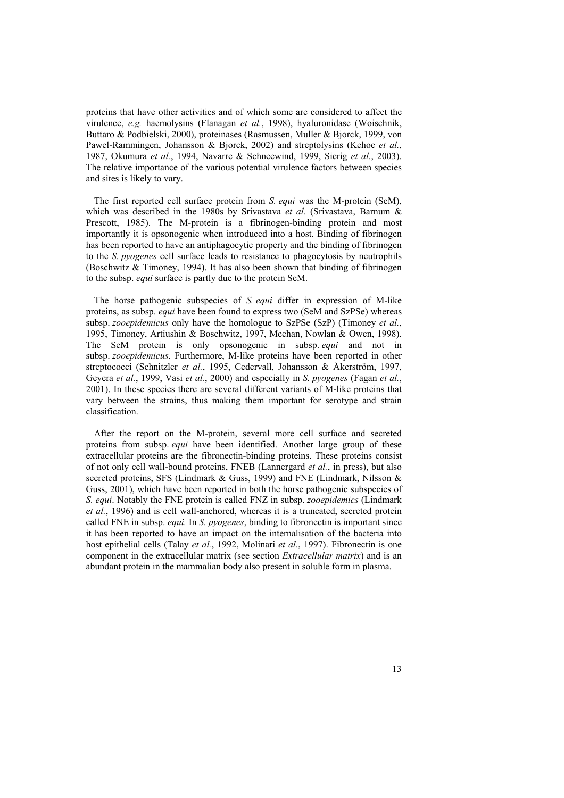proteins that have other activities and of which some are considered to affect the virulence, *e.g.* haemolysins (Flanagan *et al.*, 1998), hyaluronidase (Woischnik, Buttaro & Podbielski, 2000), proteinases (Rasmussen, Muller & Bjorck, 1999, von Pawel-Rammingen, Johansson & Bjorck, 2002) and streptolysins (Kehoe *et al.*, 1987, Okumura *et al.*, 1994, Navarre & Schneewind, 1999, Sierig *et al.*, 2003). The relative importance of the various potential virulence factors between species and sites is likely to vary.

The first reported cell surface protein from *S. equi* was the M-protein (SeM), which was described in the 1980s by Srivastava *et al.* (Srivastava, Barnum & Prescott, 1985). The M-protein is a fibrinogen-binding protein and most importantly it is opsonogenic when introduced into a host. Binding of fibrinogen has been reported to have an antiphagocytic property and the binding of fibrinogen to the *S. pyogenes* cell surface leads to resistance to phagocytosis by neutrophils (Boschwitz & Timoney, 1994). It has also been shown that binding of fibrinogen to the subsp. *equi* surface is partly due to the protein SeM.

The horse pathogenic subspecies of *S. equi* differ in expression of M-like proteins, as subsp. *equi* have been found to express two (SeM and SzPSe) whereas subsp. *zooepidemicus* only have the homologue to SzPSe (SzP) (Timoney *et al.*, 1995, Timoney, Artiushin & Boschwitz, 1997, Meehan, Nowlan & Owen, 1998). The SeM protein is only opsonogenic in subsp. *equi* and not in subsp. *zooepidemicus*. Furthermore, M-like proteins have been reported in other streptococci (Schnitzler *et al.*, 1995, Cedervall, Johansson & Åkerström, 1997, Geyera *et al.*, 1999, Vasi *et al.*, 2000) and especially in *S. pyogenes* (Fagan *et al.*, 2001). In these species there are several different variants of M-like proteins that vary between the strains, thus making them important for serotype and strain classification.

After the report on the M-protein, several more cell surface and secreted proteins from subsp. *equi* have been identified. Another large group of these extracellular proteins are the fibronectin-binding proteins. These proteins consist of not only cell wall-bound proteins, FNEB (Lannergard *et al.*, in press), but also secreted proteins, SFS (Lindmark & Guss, 1999) and FNE (Lindmark, Nilsson & Guss, 2001), which have been reported in both the horse pathogenic subspecies of *S. equi*. Notably the FNE protein is called FNZ in subsp. *zooepidemics* (Lindmark *et al.*, 1996) and is cell wall-anchored, whereas it is a truncated, secreted protein called FNE in subsp. *equi.* In *S. pyogenes*, binding to fibronectin is important since it has been reported to have an impact on the internalisation of the bacteria into host epithelial cells (Talay *et al.*, 1992, Molinari *et al.*, 1997). Fibronectin is one component in the extracellular matrix (see section *Extracellular matrix*) and is an abundant protein in the mammalian body also present in soluble form in plasma.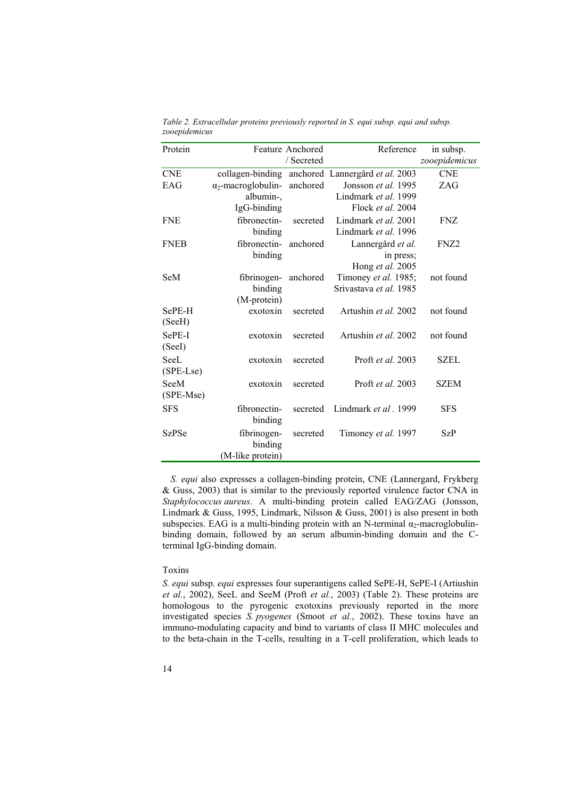| Protein      |                            | <b>Feature Anchored</b> | Reference                                        | in subsp.        |
|--------------|----------------------------|-------------------------|--------------------------------------------------|------------------|
|              |                            | / Secreted              |                                                  | zooepidemicus    |
| <b>CNE</b>   |                            |                         | collagen-binding anchored Lannergård et al. 2003 | <b>CNE</b>       |
| EAG          | $\alpha_2$ -macroglobulin- | anchored                | Jonsson <i>et al.</i> 1995                       | ZAG              |
|              | albumin-,                  |                         | Lindmark et al. 1999                             |                  |
|              | IgG-binding                |                         | Flock et al. 2004                                |                  |
| <b>FNE</b>   | fibronectin-               | secreted                | Lindmark et al. 2001                             | <b>FNZ</b>       |
|              | binding                    |                         | Lindmark et al. 1996                             |                  |
| <b>FNEB</b>  | fibronectin-               | anchored                | Lannergård et al.                                | FNZ <sub>2</sub> |
|              | binding                    |                         | in press;                                        |                  |
|              |                            |                         | Hong et al. 2005                                 |                  |
| SeM          | fibrinogen-                | anchored                | Timoney et al. 1985;                             | not found        |
|              | binding                    |                         | Srivastava et al. 1985                           |                  |
|              | (M-protein)                |                         |                                                  |                  |
| SePE-H       | exotoxin                   | secreted                | Artushin et al. 2002                             | not found        |
| (SeeH)       |                            |                         |                                                  |                  |
| SePE-I       | exotoxin                   | secreted                | Artushin et al. 2002                             | not found        |
| (SeeI)       |                            |                         |                                                  |                  |
| SeeL         | exotoxin                   | secreted                | Proft <i>et al.</i> 2003                         | SZEL             |
| (SPE-Lse)    |                            |                         |                                                  |                  |
| SeeM         | exotoxin                   | secreted                | Proft et al. 2003                                | <b>SZEM</b>      |
| (SPE-Mse)    |                            |                         |                                                  |                  |
| <b>SFS</b>   | fibronectin-               | secreted                | Lindmark et al. 1999                             | <b>SFS</b>       |
|              | binding                    |                         |                                                  |                  |
| <b>SzPSe</b> | fibrinogen-                | secreted                | Timoney et al. 1997                              | <b>SzP</b>       |
|              | binding                    |                         |                                                  |                  |
|              | (M-like protein)           |                         |                                                  |                  |
|              |                            |                         |                                                  |                  |

*Table 2. Extracellular proteins previously reported in S. equi subsp. equi and subsp. zooepidemicus* 

*S. equi* also expresses a collagen-binding protein, CNE (Lannergard, Frykberg & Guss, 2003) that is similar to the previously reported virulence factor CNA in *Staphylococcus aureus*. A multi-binding protein called EAG/ZAG (Jonsson, Lindmark & Guss, 1995, Lindmark, Nilsson & Guss, 2001) is also present in both subspecies. EAG is a multi-binding protein with an N-terminal  $\alpha_2$ -macroglobulinbinding domain, followed by an serum albumin-binding domain and the Cterminal IgG-binding domain.

#### Toxins

*S. equi* subsp. *equi* expresses four superantigens called SePE-H, SePE-I (Artiushin *et al.*, 2002), SeeL and SeeM (Proft *et al.*, 2003) (Table 2). These proteins are homologous to the pyrogenic exotoxins previously reported in the more investigated species *S. pyogenes* (Smoot *et al.*, 2002). These toxins have an immuno-modulating capacity and bind to variants of class II MHC molecules and to the beta-chain in the T-cells, resulting in a T-cell proliferation, which leads to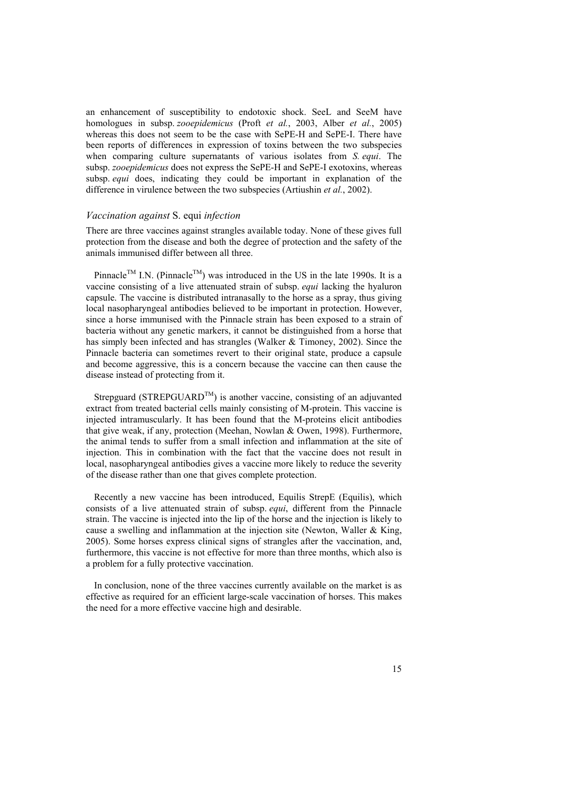an enhancement of susceptibility to endotoxic shock. SeeL and SeeM have homologues in subsp. *zooepidemicus* (Proft *et al.*, 2003, Alber *et al.*, 2005) whereas this does not seem to be the case with SePE-H and SePE-I. There have been reports of differences in expression of toxins between the two subspecies when comparing culture supernatants of various isolates from *S. equi*. The subsp. *zooepidemicus* does not express the SePE-H and SePE-I exotoxins, whereas subsp. *equi* does, indicating they could be important in explanation of the difference in virulence between the two subspecies (Artiushin *et al.*, 2002).

#### *Vaccination against* S. equi *infection*

There are three vaccines against strangles available today. None of these gives full protection from the disease and both the degree of protection and the safety of the animals immunised differ between all three.

Pinnacle<sup>TM</sup> I.N. (Pinnacle<sup>TM</sup>) was introduced in the US in the late 1990s. It is a vaccine consisting of a live attenuated strain of subsp. *equi* lacking the hyaluron capsule. The vaccine is distributed intranasally to the horse as a spray, thus giving local nasopharyngeal antibodies believed to be important in protection. However, since a horse immunised with the Pinnacle strain has been exposed to a strain of bacteria without any genetic markers, it cannot be distinguished from a horse that has simply been infected and has strangles (Walker & Timoney, 2002). Since the Pinnacle bacteria can sometimes revert to their original state, produce a capsule and become aggressive, this is a concern because the vaccine can then cause the disease instead of protecting from it.

Strepguard (STREPGUARD<sup>TM</sup>) is another vaccine, consisting of an adjuvanted extract from treated bacterial cells mainly consisting of M-protein. This vaccine is injected intramuscularly. It has been found that the M-proteins elicit antibodies that give weak, if any, protection (Meehan, Nowlan & Owen, 1998). Furthermore, the animal tends to suffer from a small infection and inflammation at the site of injection. This in combination with the fact that the vaccine does not result in local, nasopharyngeal antibodies gives a vaccine more likely to reduce the severity of the disease rather than one that gives complete protection.

Recently a new vaccine has been introduced, Equilis StrepE (Equilis), which consists of a live attenuated strain of subsp. *equi*, different from the Pinnacle strain. The vaccine is injected into the lip of the horse and the injection is likely to cause a swelling and inflammation at the injection site (Newton, Waller & King, 2005). Some horses express clinical signs of strangles after the vaccination, and, furthermore, this vaccine is not effective for more than three months, which also is a problem for a fully protective vaccination.

In conclusion, none of the three vaccines currently available on the market is as effective as required for an efficient large-scale vaccination of horses. This makes the need for a more effective vaccine high and desirable.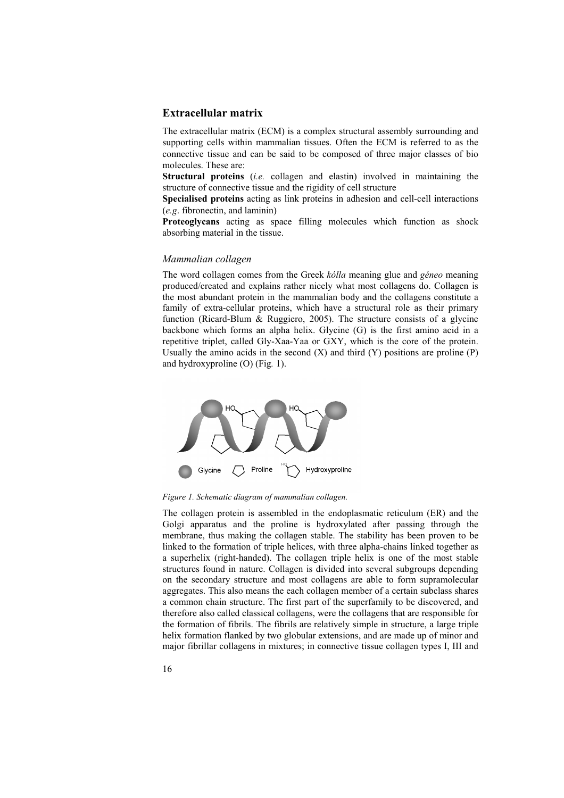## **Extracellular matrix**

The extracellular matrix (ECM) is a complex structural assembly surrounding and supporting cells within mammalian tissues. Often the ECM is referred to as the connective tissue and can be said to be composed of three major classes of bio molecules. These are:

**Structural proteins** (*i.e.* collagen and elastin) involved in maintaining the structure of connective tissue and the rigidity of cell structure

**Specialised proteins** acting as link proteins in adhesion and cell-cell interactions (*e.g*. fibronectin, and laminin)

**Proteoglycans** acting as space filling molecules which function as shock absorbing material in the tissue.

#### *Mammalian collagen*

The word collagen comes from the Greek *kólla* meaning glue and *géneo* meaning produced/created and explains rather nicely what most collagens do. Collagen is the most abundant protein in the mammalian body and the collagens constitute a family of extra-cellular proteins, which have a structural role as their primary function (Ricard-Blum & Ruggiero, 2005). The structure consists of a glycine backbone which forms an alpha helix. Glycine (G) is the first amino acid in a repetitive triplet, called Gly-Xaa-Yaa or GXY, which is the core of the protein. Usually the amino acids in the second  $(X)$  and third  $(Y)$  positions are proline  $(P)$ and hydroxyproline (O) (Fig*.* 1).



*Figure 1. Schematic diagram of mammalian collagen.* 

The collagen protein is assembled in the endoplasmatic reticulum (ER) and the Golgi apparatus and the proline is hydroxylated after passing through the membrane, thus making the collagen stable. The stability has been proven to be linked to the formation of triple helices, with three alpha-chains linked together as a superhelix (right-handed). The collagen triple helix is one of the most stable structures found in nature. Collagen is divided into several subgroups depending on the secondary structure and most collagens are able to form supramolecular aggregates. This also means the each collagen member of a certain subclass shares a common chain structure. The first part of the superfamily to be discovered, and therefore also called classical collagens, were the collagens that are responsible for the formation of fibrils. The fibrils are relatively simple in structure, a large triple helix formation flanked by two globular extensions, and are made up of minor and major fibrillar collagens in mixtures; in connective tissue collagen types I, III and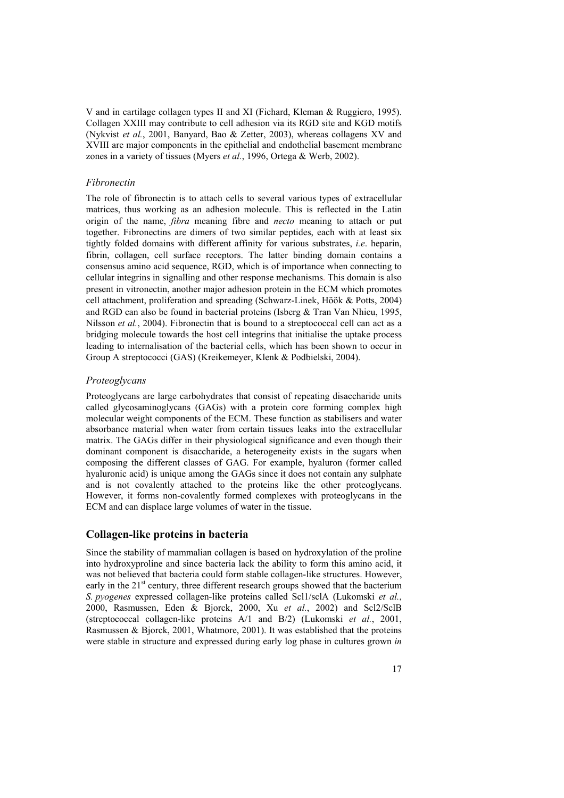V and in cartilage collagen types II and XI (Fichard, Kleman & Ruggiero, 1995). Collagen XXIII may contribute to cell adhesion via its RGD site and KGD motifs (Nykvist *et al.*, 2001, Banyard, Bao & Zetter, 2003), whereas collagens XV and XVIII are major components in the epithelial and endothelial basement membrane zones in a variety of tissues (Myers *et al.*, 1996, Ortega & Werb, 2002).

#### *Fibronectin*

The role of fibronectin is to attach cells to several various types of extracellular matrices, thus working as an adhesion molecule. This is reflected in the Latin origin of the name, *fibra* meaning fibre and *necto* meaning to attach or put together. Fibronectins are dimers of two similar peptides, each with at least six tightly folded domains with different affinity for various substrates, *i.e*. heparin, fibrin, collagen, cell surface receptors. The latter binding domain contains a consensus amino acid sequence, RGD, which is of importance when connecting to cellular integrins in signalling and other response mechanisms. This domain is also present in vitronectin, another major adhesion protein in the ECM which promotes cell attachment, proliferation and spreading (Schwarz-Linek, Höök & Potts, 2004) and RGD can also be found in bacterial proteins (Isberg & Tran Van Nhieu, 1995, Nilsson *et al.*, 2004). Fibronectin that is bound to a streptococcal cell can act as a bridging molecule towards the host cell integrins that initialise the uptake process leading to internalisation of the bacterial cells, which has been shown to occur in Group A streptococci (GAS) (Kreikemeyer, Klenk & Podbielski, 2004).

#### *Proteoglycans*

Proteoglycans are large carbohydrates that consist of repeating disaccharide units called glycosaminoglycans (GAGs) with a protein core forming complex high molecular weight components of the ECM. These function as stabilisers and water absorbance material when water from certain tissues leaks into the extracellular matrix. The GAGs differ in their physiological significance and even though their dominant component is disaccharide, a heterogeneity exists in the sugars when composing the different classes of GAG. For example, hyaluron (former called hyaluronic acid) is unique among the GAGs since it does not contain any sulphate and is not covalently attached to the proteins like the other proteoglycans. However, it forms non-covalently formed complexes with proteoglycans in the ECM and can displace large volumes of water in the tissue.

## **Collagen-like proteins in bacteria**

Since the stability of mammalian collagen is based on hydroxylation of the proline into hydroxyproline and since bacteria lack the ability to form this amino acid, it was not believed that bacteria could form stable collagen-like structures. However, early in the  $21^{st}$  century, three different research groups showed that the bacterium *S. pyogenes* expressed collagen-like proteins called Scl1/sclA (Lukomski *et al.*, 2000, Rasmussen, Eden & Bjorck, 2000, Xu *et al.*, 2002) and Scl2/SclB (streptococcal collagen-like proteins A/1 and B/2) (Lukomski *et al.*, 2001, Rasmussen & Bjorck, 2001, Whatmore, 2001). It was established that the proteins were stable in structure and expressed during early log phase in cultures grown *in*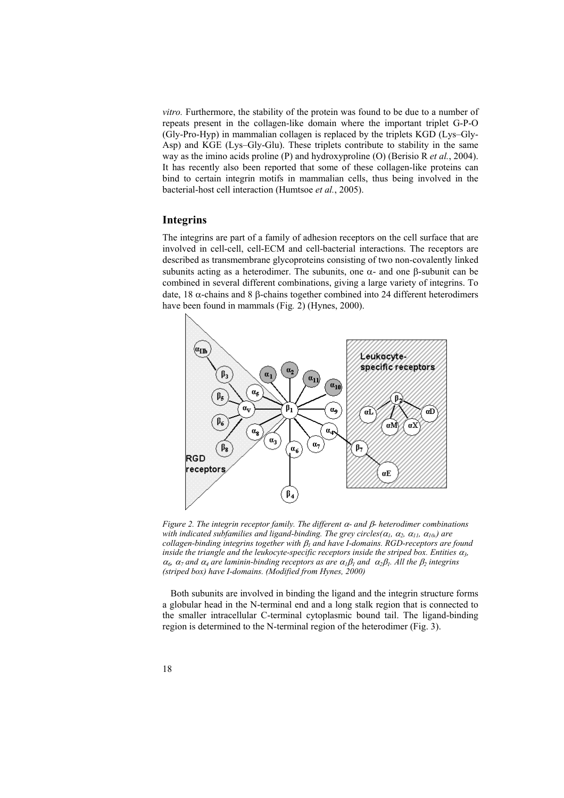*vitro.* Furthermore, the stability of the protein was found to be due to a number of repeats present in the collagen-like domain where the important triplet G-P-O (Gly-Pro-Hyp) in mammalian collagen is replaced by the triplets KGD (Lys–Gly-Asp) and KGE (Lys–Gly-Glu). These triplets contribute to stability in the same way as the imino acids proline (P) and hydroxyproline (O) (Berisio R *et al.*, 2004). It has recently also been reported that some of these collagen-like proteins can bind to certain integrin motifs in mammalian cells, thus being involved in the bacterial-host cell interaction (Humtsoe *et al.*, 2005).

## **Integrins**

The integrins are part of a family of adhesion receptors on the cell surface that are involved in cell-cell, cell-ECM and cell-bacterial interactions. The receptors are described as transmembrane glycoproteins consisting of two non-covalently linked subunits acting as a heterodimer. The subunits, one  $\alpha$ - and one β-subunit can be combined in several different combinations, giving a large variety of integrins. To date, 18 α-chains and 8 β-chains together combined into 24 different heterodimers have been found in mammals (Fig*.* 2) (Hynes, 2000).



*Figure 2. The integrin receptor family. The different* α*- and* β*- heterodimer combinations with indicated subfamilies and ligand-binding. The grey circles(* $\alpha_1$ *,*  $\alpha_2$ *,*  $\alpha_{11}$ *,*  $\alpha_{10}$ *) are collagen-binding integrins together with* β*1 and have I-domains. RGD-receptors are found inside the triangle and the leukocyte-specific receptors inside the striped box. Entities*  $\alpha_3$ *,*  $\alpha_6$ ,  $\alpha_7$  and  $\alpha_4$  are laminin-binding receptors as are  $\alpha_1\beta_1$  and  $\alpha_2\beta_1$ . All the  $\beta_2$  integrins *(striped box) have I-domains. (Modified from Hynes, 2000)* 

Both subunits are involved in binding the ligand and the integrin structure forms a globular head in the N-terminal end and a long stalk region that is connected to the smaller intracellular C-terminal cytoplasmic bound tail. The ligand-binding region is determined to the N-terminal region of the heterodimer (Fig. 3).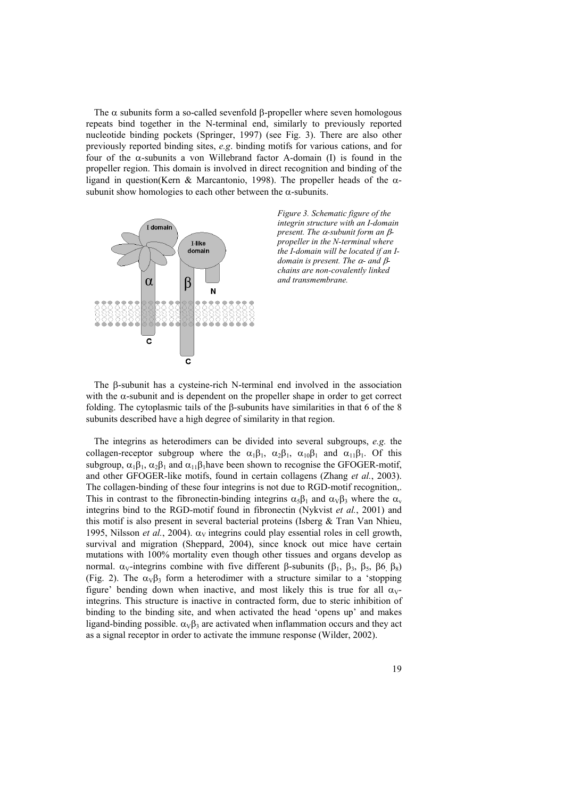The  $\alpha$  subunits form a so-called sevenfold β-propeller where seven homologous repeats bind together in the N-terminal end, similarly to previously reported nucleotide binding pockets (Springer, 1997) (see Fig. 3). There are also other previously reported binding sites, *e.g*. binding motifs for various cations, and for four of the α-subunits a von Willebrand factor A-domain (I) is found in the propeller region. This domain is involved in direct recognition and binding of the ligand in question(Kern & Marcantonio, 1998). The propeller heads of the αsubunit show homologies to each other between the  $\alpha$ -subunits.





The β-subunit has a cysteine-rich N-terminal end involved in the association with the  $\alpha$ -subunit and is dependent on the propeller shape in order to get correct folding. The cytoplasmic tails of the β-subunits have similarities in that 6 of the 8 subunits described have a high degree of similarity in that region.

The integrins as heterodimers can be divided into several subgroups, *e.g.* the collagen-receptor subgroup where the  $\alpha_1\beta_1$ ,  $\alpha_2\beta_1$ ,  $\alpha_{10}\beta_1$  and  $\alpha_{11}\beta_1$ . Of this subgroup,  $\alpha_1\beta_1$ ,  $\alpha_2\beta_1$  and  $\alpha_{11}\beta_1$  have been shown to recognise the GFOGER-motif, and other GFOGER-like motifs, found in certain collagens (Zhang *et al.*, 2003). The collagen-binding of these four integrins is not due to RGD-motif recognition,. This in contrast to the fibronectin-binding integrins  $\alpha_5\beta_1$  and  $\alpha_1\beta_3$  where the  $\alpha_v$ integrins bind to the RGD-motif found in fibronectin (Nykvist *et al.*, 2001) and this motif is also present in several bacterial proteins (Isberg  $\&$  Tran Van Nhieu, 1995, Nilsson *et al.*, 2004).  $\alpha_V$  integrins could play essential roles in cell growth, survival and migration (Sheppard, 2004), since knock out mice have certain mutations with 100% mortality even though other tissues and organs develop as normal.  $α_V$ -integrins combine with five different β-subunits (β<sub>1</sub>, β<sub>3</sub>, β<sub>5</sub>, β6<sub>,</sub> β<sub>8</sub>) (Fig. 2). The  $\alpha_v \beta_3$  form a heterodimer with a structure similar to a 'stopping figure' bending down when inactive, and most likely this is true for all  $\alpha_V$ integrins. This structure is inactive in contracted form, due to steric inhibition of binding to the binding site, and when activated the head 'opens up' and makes ligand-binding possible.  $\alpha_v \beta_3$  are activated when inflammation occurs and they act as a signal receptor in order to activate the immune response (Wilder, 2002).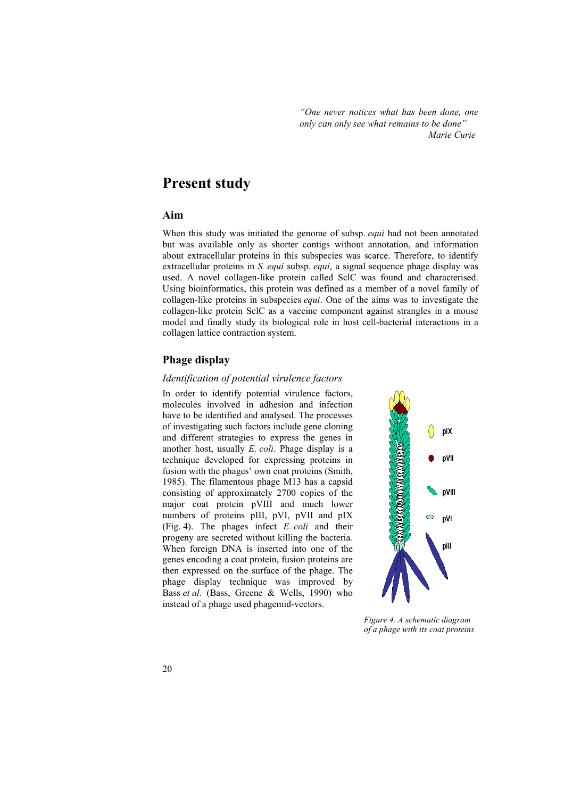*"One never notices what has been done, one only can only see what remains to be done" Marie Curie* 

## **Present study**

## **Aim**

When this study was initiated the genome of subsp. *equi* had not been annotated but was available only as shorter contigs without annotation, and information about extracellular proteins in this subspecies was scarce. Therefore, to identify extracellular proteins in *S. equi* subsp. *equi*, a signal sequence phage display was used. A novel collagen-like protein called SclC was found and characterised. Using bioinformatics, this protein was defined as a member of a novel family of collagen-like proteins in subspecies *equi*. One of the aims was to investigate the collagen-like protein SclC as a vaccine component against strangles in a mouse model and finally study its biological role in host cell-bacterial interactions in a collagen lattice contraction system.

## **Phage display**

### *Identification of potential virulence factors*

In order to identify potential virulence factors, molecules involved in adhesion and infection have to be identified and analysed. The processes of investigating such factors include gene cloning and different strategies to express the genes in another host, usually *E. coli*. Phage display is a technique developed for expressing proteins in fusion with the phages' own coat proteins (Smith, 1985). The filamentous phage M13 has a capsid consisting of approximately 2700 copies of the major coat protein pVIII and much lower numbers of proteins pIII, pVI, pVII and pIX (Fig. 4). The phages infect *E. coli* and their progeny are secreted without killing the bacteria*.*  When foreign DNA is inserted into one of the genes encoding a coat protein, fusion proteins are then expressed on the surface of the phage. The phage display technique was improved by Bass *et al*. (Bass, Greene & Wells, 1990) who instead of a phage used phagemid-vectors.



*Figure 4. A schematic diagram of a phage with its coat proteins*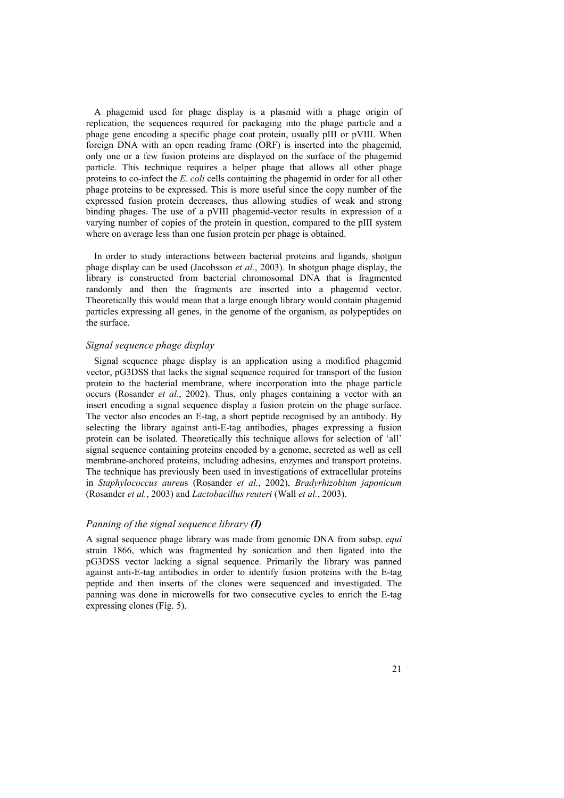A phagemid used for phage display is a plasmid with a phage origin of replication, the sequences required for packaging into the phage particle and a phage gene encoding a specific phage coat protein, usually pIII or pVIII. When foreign DNA with an open reading frame (ORF) is inserted into the phagemid, only one or a few fusion proteins are displayed on the surface of the phagemid particle. This technique requires a helper phage that allows all other phage proteins to co-infect the *E. coli* cells containing the phagemid in order for all other phage proteins to be expressed. This is more useful since the copy number of the expressed fusion protein decreases, thus allowing studies of weak and strong binding phages. The use of a pVIII phagemid-vector results in expression of a varying number of copies of the protein in question, compared to the pIII system where on average less than one fusion protein per phage is obtained.

In order to study interactions between bacterial proteins and ligands, shotgun phage display can be used (Jacobsson *et al.*, 2003). In shotgun phage display, the library is constructed from bacterial chromosomal DNA that is fragmented randomly and then the fragments are inserted into a phagemid vector. Theoretically this would mean that a large enough library would contain phagemid particles expressing all genes, in the genome of the organism, as polypeptides on the surface.

## *Signal sequence phage display*

Signal sequence phage display is an application using a modified phagemid vector, pG3DSS that lacks the signal sequence required for transport of the fusion protein to the bacterial membrane, where incorporation into the phage particle occurs (Rosander *et al.*, 2002). Thus, only phages containing a vector with an insert encoding a signal sequence display a fusion protein on the phage surface. The vector also encodes an E-tag, a short peptide recognised by an antibody. By selecting the library against anti-E-tag antibodies, phages expressing a fusion protein can be isolated. Theoretically this technique allows for selection of 'all' signal sequence containing proteins encoded by a genome, secreted as well as cell membrane-anchored proteins, including adhesins, enzymes and transport proteins. The technique has previously been used in investigations of extracellular proteins in *Staphylococcus aureu*s (Rosander *et al.*, 2002), *Bradyrhizobium japonicum* (Rosander *et al.*, 2003) and *Lactobacillus reuteri* (Wall *et al.*, 2003).

#### *Panning of the signal sequence library (I)*

A signal sequence phage library was made from genomic DNA from subsp. *equi* strain 1866, which was fragmented by sonication and then ligated into the pG3DSS vector lacking a signal sequence. Primarily the library was panned against anti-E-tag antibodies in order to identify fusion proteins with the E-tag peptide and then inserts of the clones were sequenced and investigated. The panning was done in microwells for two consecutive cycles to enrich the E-tag expressing clones (Fig. 5).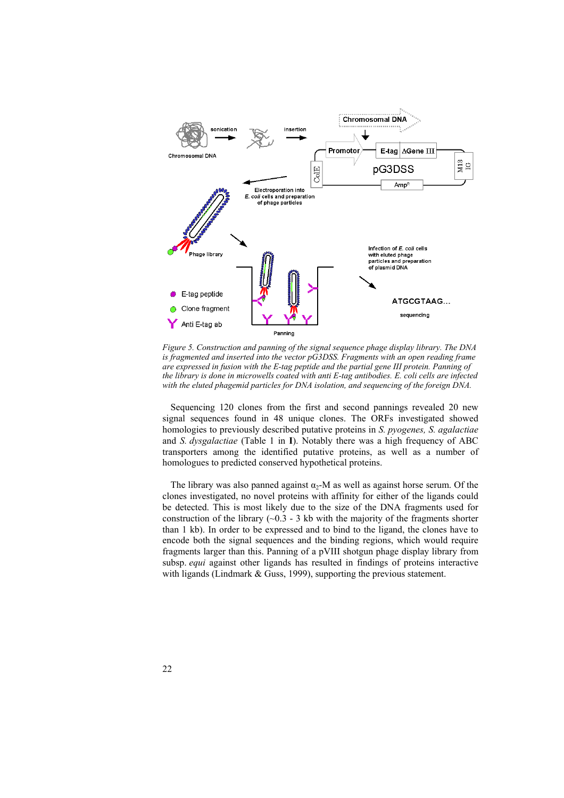

*Figure 5. Construction and panning of the signal sequence phage display library. The DNA is fragmented and inserted into the vector pG3DSS. Fragments with an open reading frame are expressed in fusion with the E-tag peptide and the partial gene III protein. Panning of the library is done in microwells coated with anti E-tag antibodies. E. coli cells are infected with the eluted phagemid particles for DNA isolation, and sequencing of the foreign DNA.* 

Sequencing 120 clones from the first and second pannings revealed 20 new signal sequences found in 48 unique clones. The ORFs investigated showed homologies to previously described putative proteins in *S. pyogenes, S. agalactiae*  and *S. dysgalactiae* (Table 1 in **I**). Notably there was a high frequency of ABC transporters among the identified putative proteins, as well as a number of homologues to predicted conserved hypothetical proteins.

The library was also panned against  $\alpha_2$ -M as well as against horse serum. Of the clones investigated, no novel proteins with affinity for either of the ligands could be detected. This is most likely due to the size of the DNA fragments used for construction of the library  $(-0.3 - 3$  kb with the majority of the fragments shorter than 1 kb). In order to be expressed and to bind to the ligand, the clones have to encode both the signal sequences and the binding regions, which would require fragments larger than this. Panning of a pVIII shotgun phage display library from subsp. *equi* against other ligands has resulted in findings of proteins interactive with ligands (Lindmark & Guss, 1999), supporting the previous statement.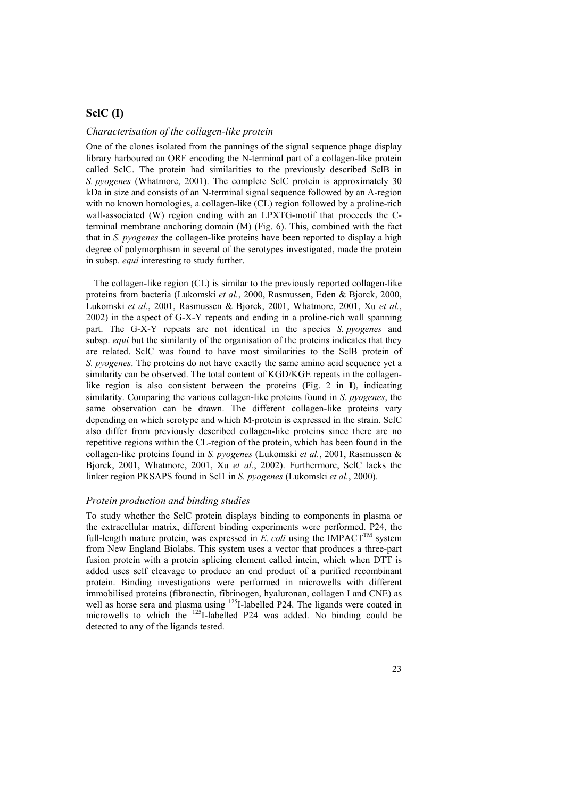## **SclC (I)**

#### *Characterisation of the collagen-like protein*

One of the clones isolated from the pannings of the signal sequence phage display library harboured an ORF encoding the N-terminal part of a collagen-like protein called SclC. The protein had similarities to the previously described SclB in *S. pyogenes* (Whatmore, 2001). The complete SclC protein is approximately 30 kDa in size and consists of an N-terminal signal sequence followed by an A-region with no known homologies, a collagen-like (CL) region followed by a proline-rich wall-associated (W) region ending with an LPXTG-motif that proceeds the Cterminal membrane anchoring domain (M) (Fig. 6). This, combined with the fact that in *S. pyogenes* the collagen-like proteins have been reported to display a high degree of polymorphism in several of the serotypes investigated, made the protein in subsp*. equi* interesting to study further.

The collagen-like region (CL) is similar to the previously reported collagen-like proteins from bacteria (Lukomski *et al.*, 2000, Rasmussen, Eden & Bjorck, 2000, Lukomski *et al.*, 2001, Rasmussen & Bjorck, 2001, Whatmore, 2001, Xu *et al.*, 2002) in the aspect of G-X-Y repeats and ending in a proline-rich wall spanning part. The G-X-Y repeats are not identical in the species *S. pyogenes* and subsp. *equi* but the similarity of the organisation of the proteins indicates that they are related. SclC was found to have most similarities to the SclB protein of *S. pyogenes*. The proteins do not have exactly the same amino acid sequence yet a similarity can be observed. The total content of KGD/KGE repeats in the collagenlike region is also consistent between the proteins (Fig. 2 in **I**), indicating similarity. Comparing the various collagen-like proteins found in *S. pyogenes*, the same observation can be drawn. The different collagen-like proteins vary depending on which serotype and which M-protein is expressed in the strain. SclC also differ from previously described collagen-like proteins since there are no repetitive regions within the CL-region of the protein, which has been found in the collagen-like proteins found in *S. pyogenes* (Lukomski *et al.*, 2001, Rasmussen & Bjorck, 2001, Whatmore, 2001, Xu *et al.*, 2002). Furthermore, SclC lacks the linker region PKSAPS found in Scl1 in *S. pyogenes* (Lukomski *et al.*, 2000).

#### *Protein production and binding studies*

To study whether the SclC protein displays binding to components in plasma or the extracellular matrix, different binding experiments were performed. P24, the full-length mature protein, was expressed in  $\vec{E}$ , coli using the IMPACT<sup>TM</sup> system from New England Biolabs. This system uses a vector that produces a three-part fusion protein with a protein splicing element called intein, which when DTT is added uses self cleavage to produce an end product of a purified recombinant protein. Binding investigations were performed in microwells with different immobilised proteins (fibronectin, fibrinogen, hyaluronan, collagen I and CNE) as well as horse sera and plasma using <sup>125</sup>I-labelled P24. The ligands were coated in microwells to which the 125I-labelled P24 was added. No binding could be detected to any of the ligands tested.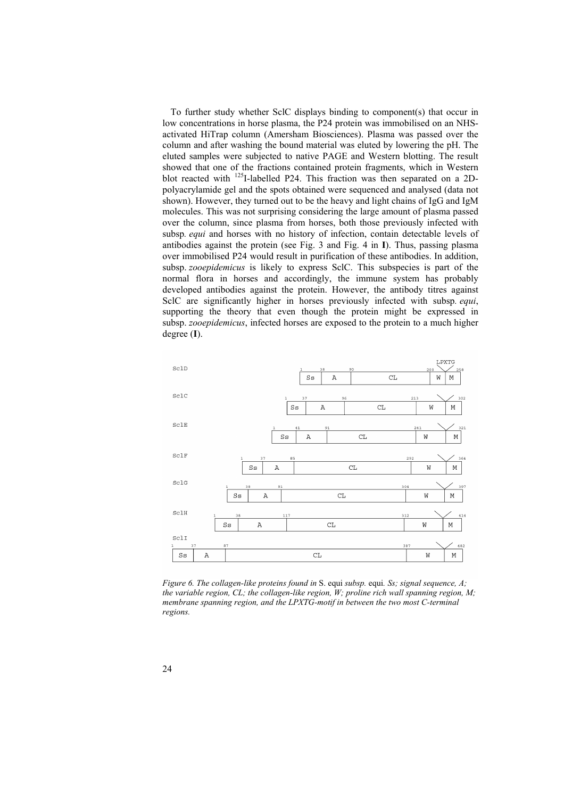To further study whether SclC displays binding to component(s) that occur in low concentrations in horse plasma, the P24 protein was immobilised on an NHSactivated HiTrap column (Amersham Biosciences). Plasma was passed over the column and after washing the bound material was eluted by lowering the pH. The eluted samples were subjected to native PAGE and Western blotting. The result showed that one of the fractions contained protein fragments, which in Western blot reacted with 125I-labelled P24. This fraction was then separated on a 2Dpolyacrylamide gel and the spots obtained were sequenced and analysed (data not shown). However, they turned out to be the heavy and light chains of IgG and IgM molecules. This was not surprising considering the large amount of plasma passed over the column, since plasma from horses, both those previously infected with subsp*. equi* and horses with no history of infection, contain detectable levels of antibodies against the protein (see Fig. 3 and Fig. 4 in **I**). Thus, passing plasma over immobilised P24 would result in purification of these antibodies. In addition, subsp. *zooepidemicus* is likely to express SclC. This subspecies is part of the normal flora in horses and accordingly, the immune system has probably developed antibodies against the protein. However, the antibody titres against SclC are significantly higher in horses previously infected with subsp*. equi*, supporting the theory that even though the protein might be expressed in subsp. *zooepidemicus*, infected horses are exposed to the protein to a much higher degree (**I**).



*Figure 6. The collagen-like proteins found in* S. equi *subsp.* equi*. Ss; signal sequence, A; the variable region, CL; the collagen-like region, W; proline rich wall spanning region, M; membrane spanning region, and the LPXTG-motif in between the two most C-terminal regions.*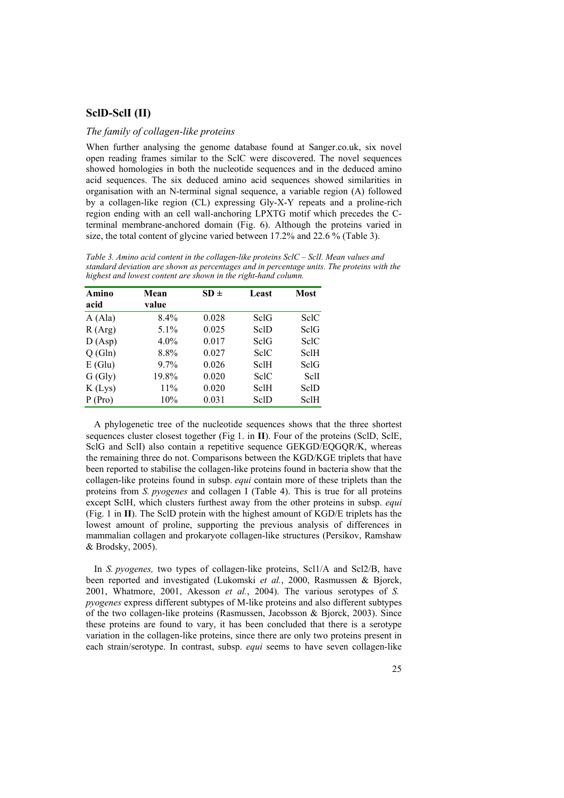## **SclD-SclI (II)**

#### *The family of collagen-like proteins*

When further analysing the genome database found at Sanger.co.uk, six novel open reading frames similar to the SclC were discovered. The novel sequences showed homologies in both the nucleotide sequences and in the deduced amino acid sequences. The six deduced amino acid sequences showed similarities in organisation with an N-terminal signal sequence, a variable region (A) followed by a collagen-like region (CL) expressing Gly-X-Y repeats and a proline-rich region ending with an cell wall-anchoring LPXTG motif which precedes the Cterminal membrane-anchored domain (Fig. 6). Although the proteins varied in size, the total content of glycine varied between 17.2% and 22.6 % (Table 3).

*Table 3. Amino acid content in the collagen-like proteins SclC – SclI. Mean values and standard deviation are shown as percentages and in percentage units. The proteins with the highest and lowest content are shown in the right-hand column.* 

| Amino<br>acid | Mean<br>value | $SD \pm$ | Least       | <b>Most</b> |
|---------------|---------------|----------|-------------|-------------|
| A(Ala)        | 8.4%          | 0.028    | SclG        | SelC        |
| R(Arg)        | $5.1\%$       | 0.025    | SclD        | SclG        |
| D(Asp)        | $4.0\%$       | 0.017    | SelG        | SelC        |
| Q(Gln)        | 8.8%          | 0.027    | <b>SclC</b> | SclH        |
| E(Glu)        | $9.7\%$       | 0.026    | <b>SclH</b> | SclG        |
| G(Gly)        | 19.8%         | 0.020    | <b>SclC</b> | SclI        |
| K(Lys)        | 11%           | 0.020    | SclH        | SclD        |
| P (Pro)       | 10%           | 0.031    | SclD        | SclH        |

A phylogenetic tree of the nucleotide sequences shows that the three shortest sequences cluster closest together (Fig 1. in **II**). Four of the proteins (SclD, SclE, SclG and SclI) also contain a repetitive sequence GEKGD/EQGQR/K, whereas the remaining three do not. Comparisons between the KGD/KGE triplets that have been reported to stabilise the collagen-like proteins found in bacteria show that the collagen-like proteins found in subsp. *equi* contain more of these triplets than the proteins from *S. pyogenes* and collagen I (Table 4). This is true for all proteins except SclH, which clusters furthest away from the other proteins in subsp. *equi* (Fig. 1 in **II**). The SclD protein with the highest amount of KGD/E triplets has the lowest amount of proline, supporting the previous analysis of differences in mammalian collagen and prokaryote collagen-like structures (Persikov, Ramshaw & Brodsky, 2005).

In *S. pyogenes,* two types of collagen-like proteins, Scl1/A and Scl2/B, have been reported and investigated (Lukomski *et al.*, 2000, Rasmussen & Bjorck, 2001, Whatmore, 2001, Akesson *et al.*, 2004). The various serotypes of *S. pyogenes* express different subtypes of M-like proteins and also different subtypes of the two collagen-like proteins (Rasmussen, Jacobsson & Bjorck, 2003). Since these proteins are found to vary, it has been concluded that there is a serotype variation in the collagen-like proteins, since there are only two proteins present in each strain/serotype. In contrast, subsp. *equi* seems to have seven collagen-like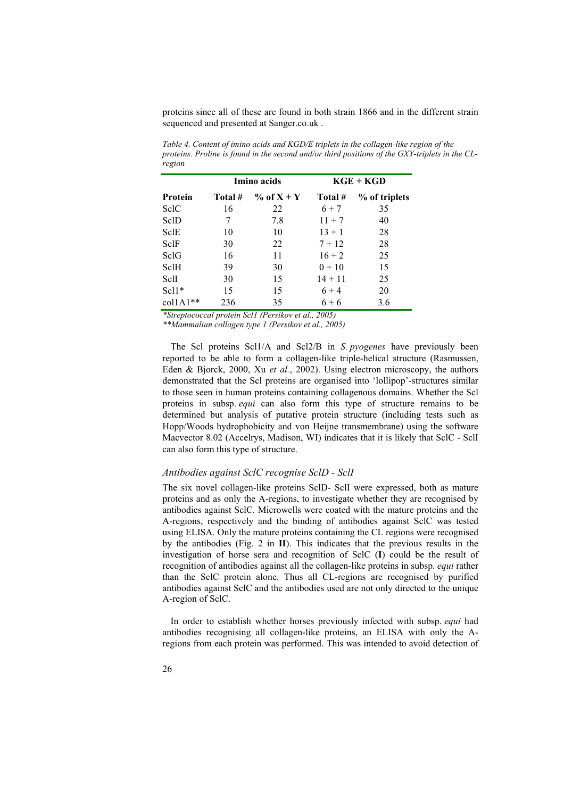proteins since all of these are found in both strain 1866 and in the different strain sequenced and presented at Sanger.co.uk .

|                   | Imino acids |                 | $KGE + KGD$ |               |  |
|-------------------|-------------|-----------------|-------------|---------------|--|
| Protein           | Total #     | $\%$ of $X + Y$ | Total #     | % of triplets |  |
| SelC              | 16          | 22              | $6 + 7$     | 35            |  |
| SclD              | 7           | 7.8             | $11 + 7$    | 40            |  |
| SclE              | 10          | 10              | $13 + 1$    | 28            |  |
| SclF              | 30          | 22              | $7 + 12$    | 28            |  |
| SelG              | 16          | 11              | $16 + 2$    | 25            |  |
| SclH              | 39          | 30              | $0 + 10$    | 15            |  |
| SclI              | 30          | 15              | $14 + 11$   | 25            |  |
| $Scl1*$           | 15          | 15              | $6 + 4$     | 20            |  |
| $\text{collA1**}$ | 236         | 35              | $6 + 6$     | 3.6           |  |

*Table 4. Content of imino acids and KGD/E triplets in the collagen-like region of the proteins. Proline is found in the second and/or third positions of the GXY-triplets in the CLregion* 

*\*Streptococcal protein Scl1 (Persikov et al., 2005)* 

*\*\*Mammalian collagen type 1 (Persikov et al., 2005)* 

The Scl proteins Scl1/A and Scl2/B in *S. pyogenes* have previously been reported to be able to form a collagen-like triple-helical structure (Rasmussen, Eden & Bjorck, 2000, Xu *et al.*, 2002). Using electron microscopy, the authors demonstrated that the Scl proteins are organised into 'lollipop'-structures similar to those seen in human proteins containing collagenous domains. Whether the Scl proteins in subsp. *equi* can also form this type of structure remains to be determined but analysis of putative protein structure (including tests such as Hopp/Woods hydrophobicity and von Heijne transmembrane) using the software Macvector 8.02 (Accelrys, Madison, WI) indicates that it is likely that SclC - SclI can also form this type of structure.

### *Antibodies against SclC recognise SclD - SclI*

The six novel collagen-like proteins SclD- SclI were expressed, both as mature proteins and as only the A-regions, to investigate whether they are recognised by antibodies against SclC. Microwells were coated with the mature proteins and the A-regions, respectively and the binding of antibodies against SclC was tested using ELISA. Only the mature proteins containing the CL regions were recognised by the antibodies (Fig. 2 in **II**). This indicates that the previous results in the investigation of horse sera and recognition of SclC (**I**) could be the result of recognition of antibodies against all the collagen-like proteins in subsp. *equi* rather than the SclC protein alone. Thus all CL-regions are recognised by purified antibodies against SclC and the antibodies used are not only directed to the unique A-region of SclC.

In order to establish whether horses previously infected with subsp. *equi* had antibodies recognising all collagen-like proteins, an ELISA with only the Aregions from each protein was performed. This was intended to avoid detection of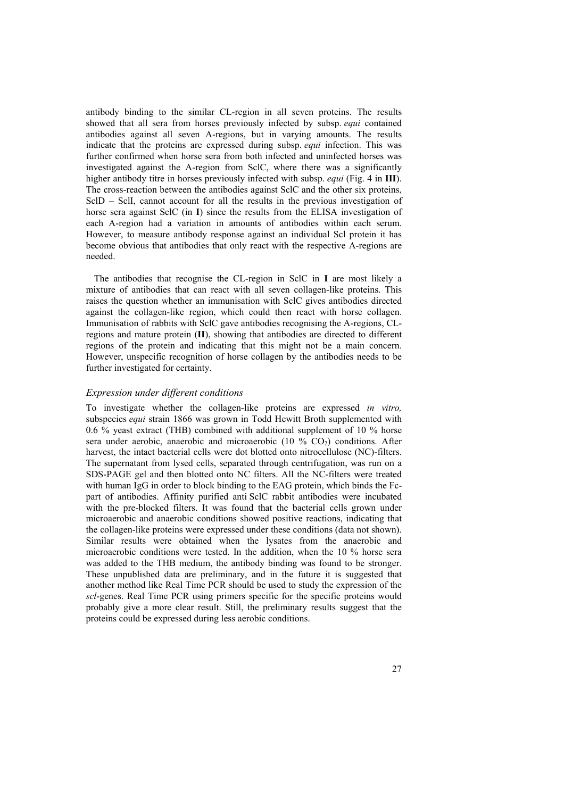antibody binding to the similar CL-region in all seven proteins. The results showed that all sera from horses previously infected by subsp. *equi* contained antibodies against all seven A-regions, but in varying amounts. The results indicate that the proteins are expressed during subsp. *equi* infection. This was further confirmed when horse sera from both infected and uninfected horses was investigated against the A-region from SclC, where there was a significantly higher antibody titre in horses previously infected with subsp. *equi* (Fig. 4 in **III**). The cross-reaction between the antibodies against SclC and the other six proteins, SclD – SclI, cannot account for all the results in the previous investigation of horse sera against SclC (in **I**) since the results from the ELISA investigation of each A-region had a variation in amounts of antibodies within each serum. However, to measure antibody response against an individual Scl protein it has become obvious that antibodies that only react with the respective A-regions are needed.

The antibodies that recognise the CL-region in SclC in **I** are most likely a mixture of antibodies that can react with all seven collagen-like proteins. This raises the question whether an immunisation with SclC gives antibodies directed against the collagen-like region, which could then react with horse collagen. Immunisation of rabbits with SclC gave antibodies recognising the A-regions, CLregions and mature protein (**II**), showing that antibodies are directed to different regions of the protein and indicating that this might not be a main concern. However, unspecific recognition of horse collagen by the antibodies needs to be further investigated for certainty.

### *Expression under different conditions*

To investigate whether the collagen-like proteins are expressed *in vitro,* subspecies *equi* strain 1866 was grown in Todd Hewitt Broth supplemented with 0.6 % yeast extract (THB) combined with additional supplement of 10 % horse sera under aerobic, anaerobic and microaerobic  $(10 \% CO<sub>2</sub>)$  conditions. After harvest, the intact bacterial cells were dot blotted onto nitrocellulose (NC)-filters. The supernatant from lysed cells, separated through centrifugation, was run on a SDS-PAGE gel and then blotted onto NC filters. All the NC-filters were treated with human IgG in order to block binding to the EAG protein, which binds the Fcpart of antibodies. Affinity purified anti SclC rabbit antibodies were incubated with the pre-blocked filters. It was found that the bacterial cells grown under microaerobic and anaerobic conditions showed positive reactions, indicating that the collagen-like proteins were expressed under these conditions (data not shown). Similar results were obtained when the lysates from the anaerobic and microaerobic conditions were tested. In the addition, when the 10 % horse sera was added to the THB medium, the antibody binding was found to be stronger. These unpublished data are preliminary, and in the future it is suggested that another method like Real Time PCR should be used to study the expression of the *scl*-genes. Real Time PCR using primers specific for the specific proteins would probably give a more clear result. Still, the preliminary results suggest that the proteins could be expressed during less aerobic conditions.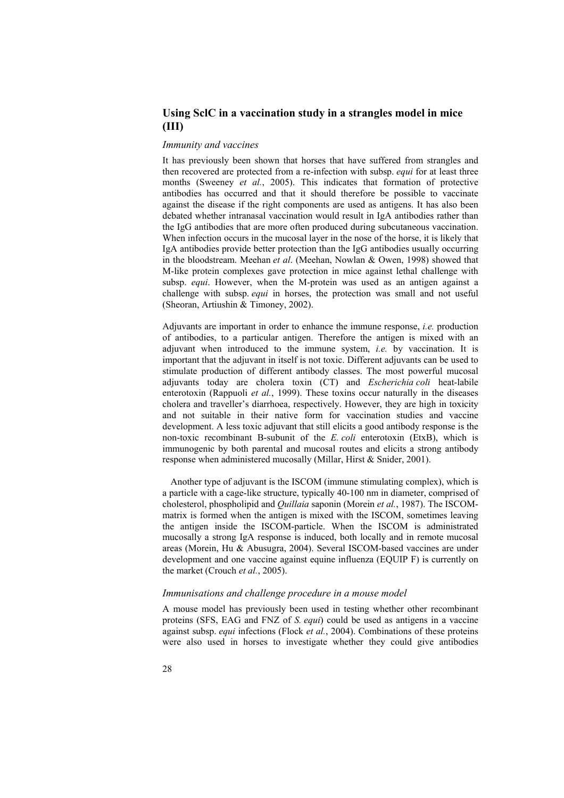## **Using SclC in a vaccination study in a strangles model in mice (III)**

#### *Immunity and vaccines*

It has previously been shown that horses that have suffered from strangles and then recovered are protected from a re-infection with subsp. *equi* for at least three months (Sweeney *et al.*, 2005). This indicates that formation of protective antibodies has occurred and that it should therefore be possible to vaccinate against the disease if the right components are used as antigens. It has also been debated whether intranasal vaccination would result in IgA antibodies rather than the IgG antibodies that are more often produced during subcutaneous vaccination. When infection occurs in the mucosal layer in the nose of the horse, it is likely that IgA antibodies provide better protection than the IgG antibodies usually occurring in the bloodstream. Meehan *et al*. (Meehan, Nowlan & Owen, 1998) showed that M-like protein complexes gave protection in mice against lethal challenge with subsp. *equi*. However, when the M-protein was used as an antigen against a challenge with subsp. *equi* in horses, the protection was small and not useful (Sheoran, Artiushin & Timoney, 2002).

Adjuvants are important in order to enhance the immune response, *i.e.* production of antibodies, to a particular antigen. Therefore the antigen is mixed with an adjuvant when introduced to the immune system, *i.e.* by vaccination. It is important that the adjuvant in itself is not toxic. Different adjuvants can be used to stimulate production of different antibody classes. The most powerful mucosal adjuvants today are cholera toxin (CT) and *Escherichia coli* heat-labile enterotoxin (Rappuoli *et al.*, 1999). These toxins occur naturally in the diseases cholera and traveller's diarrhoea, respectively. However, they are high in toxicity and not suitable in their native form for vaccination studies and vaccine development. A less toxic adjuvant that still elicits a good antibody response is the non-toxic recombinant B-subunit of the *E. coli* enterotoxin (EtxB), which is immunogenic by both parental and mucosal routes and elicits a strong antibody response when administered mucosally (Millar, Hirst & Snider, 2001).

Another type of adjuvant is the ISCOM (immune stimulating complex), which is a particle with a cage-like structure, typically 40-100 nm in diameter, comprised of cholesterol, phospholipid and *Quillaia* saponin (Morein *et al.*, 1987). The ISCOMmatrix is formed when the antigen is mixed with the ISCOM, sometimes leaving the antigen inside the ISCOM-particle. When the ISCOM is administrated mucosally a strong IgA response is induced, both locally and in remote mucosal areas (Morein, Hu & Abusugra, 2004). Several ISCOM-based vaccines are under development and one vaccine against equine influenza (EQUIP F) is currently on the market (Crouch *et al.*, 2005).

#### *Immunisations and challenge procedure in a mouse model*

A mouse model has previously been used in testing whether other recombinant proteins (SFS, EAG and FNZ of *S. equi*) could be used as antigens in a vaccine against subsp. *equi* infections (Flock *et al.*, 2004). Combinations of these proteins were also used in horses to investigate whether they could give antibodies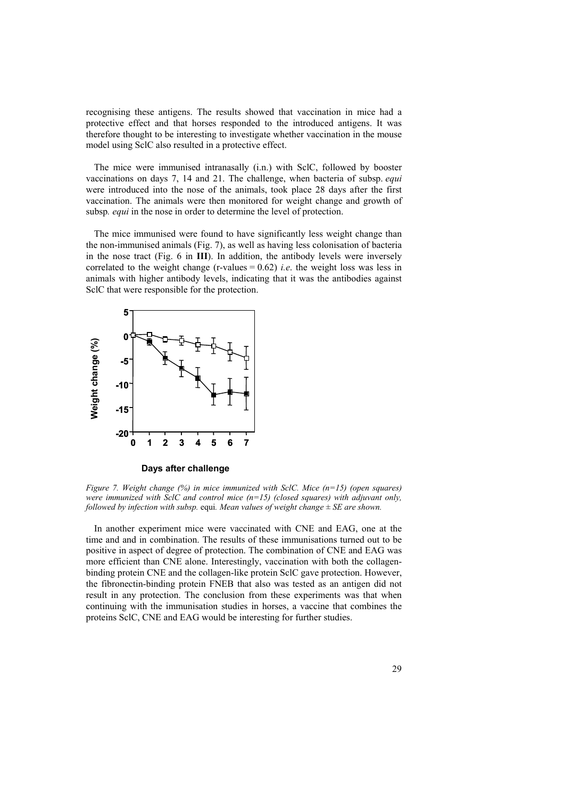recognising these antigens. The results showed that vaccination in mice had a protective effect and that horses responded to the introduced antigens. It was therefore thought to be interesting to investigate whether vaccination in the mouse model using SclC also resulted in a protective effect.

The mice were immunised intranasally (i.n.) with SclC, followed by booster vaccinations on days 7, 14 and 21. The challenge, when bacteria of subsp. *equi* were introduced into the nose of the animals, took place 28 days after the first vaccination. The animals were then monitored for weight change and growth of subsp*. equi* in the nose in order to determine the level of protection.

The mice immunised were found to have significantly less weight change than the non-immunised animals (Fig. 7), as well as having less colonisation of bacteria in the nose tract (Fig. 6 in **III**). In addition, the antibody levels were inversely correlated to the weight change (r-values  $= 0.62$ ) *i.e.* the weight loss was less in animals with higher antibody levels, indicating that it was the antibodies against SclC that were responsible for the protection.



**Days after challenge**

*Figure 7. Weight change (%) in mice immunized with SclC. Mice (n=15) (open squares) were immunized with SclC and control mice (n=15) (closed squares) with adjuvant only, followed by infection with subsp.* equi*. Mean values of weight change ± SE are shown.* 

In another experiment mice were vaccinated with CNE and EAG, one at the time and and in combination. The results of these immunisations turned out to be positive in aspect of degree of protection. The combination of CNE and EAG was more efficient than CNE alone. Interestingly, vaccination with both the collagenbinding protein CNE and the collagen-like protein SclC gave protection. However, the fibronectin-binding protein FNEB that also was tested as an antigen did not result in any protection. The conclusion from these experiments was that when continuing with the immunisation studies in horses, a vaccine that combines the proteins SclC, CNE and EAG would be interesting for further studies.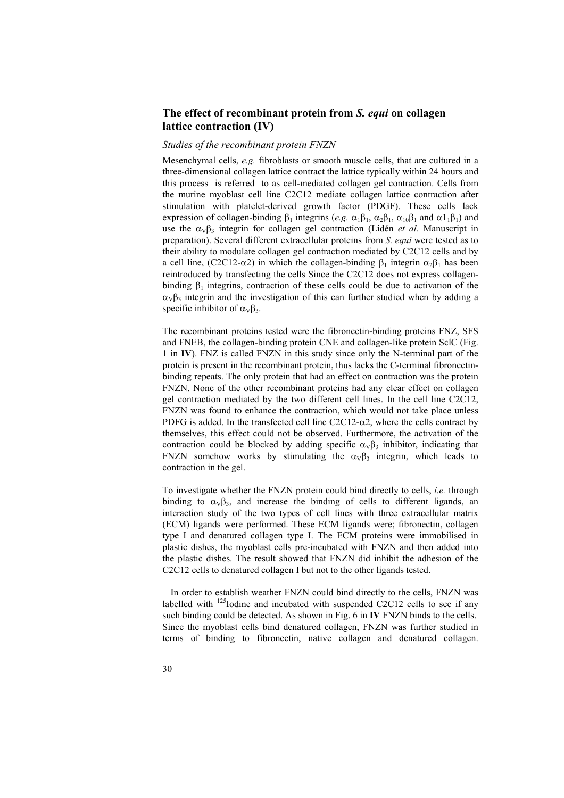## **The effect of recombinant protein from** *S. equi* **on collagen lattice contraction (IV)**

#### *Studies of the recombinant protein FNZN*

Mesenchymal cells, *e.g.* fibroblasts or smooth muscle cells, that are cultured in a three-dimensional collagen lattice contract the lattice typically within 24 hours and this process is referred to as cell-mediated collagen gel contraction. Cells from the murine myoblast cell line C2C12 mediate collagen lattice contraction after stimulation with platelet-derived growth factor (PDGF). These cells lack expression of collagen-binding  $\beta_1$  integrins (*e.g.*  $\alpha_1\beta_1$ ,  $\alpha_2\beta_1$ ,  $\alpha_{10}\beta_1$  and  $\alpha_1\beta_1$ ) and use the  $\alpha v \beta_3$  integrin for collagen gel contraction (Lidén *et al.* Manuscript in preparation). Several different extracellular proteins from *S. equi* were tested as to their ability to modulate collagen gel contraction mediated by C2C12 cells and by a cell line, (C2C12-α2) in which the collagen-binding  $\beta_1$  integrin  $\alpha_2\beta_1$  has been reintroduced by transfecting the cells Since the C2C12 does not express collagenbinding  $\beta_1$  integrins, contraction of these cells could be due to activation of the  $\alpha_{V}\beta_{3}$  integrin and the investigation of this can further studied when by adding a specific inhibitor of  $\alpha_v \beta_3$ .

The recombinant proteins tested were the fibronectin-binding proteins FNZ, SFS and FNEB, the collagen-binding protein CNE and collagen-like protein SclC (Fig. 1 in **IV**). FNZ is called FNZN in this study since only the N-terminal part of the protein is present in the recombinant protein, thus lacks the C-terminal fibronectinbinding repeats. The only protein that had an effect on contraction was the protein FNZN. None of the other recombinant proteins had any clear effect on collagen gel contraction mediated by the two different cell lines. In the cell line C2C12, FNZN was found to enhance the contraction, which would not take place unless PDFG is added. In the transfected cell line  $C2C12-\alpha2$ , where the cells contract by themselves, this effect could not be observed. Furthermore, the activation of the contraction could be blocked by adding specific  $\alpha_V\beta_3$  inhibitor, indicating that FNZN somehow works by stimulating the  $\alpha_V\beta_3$  integrin, which leads to contraction in the gel.

To investigate whether the FNZN protein could bind directly to cells, *i.e.* through binding to  $\alpha_v \beta_3$ , and increase the binding of cells to different ligands, an interaction study of the two types of cell lines with three extracellular matrix (ECM) ligands were performed. These ECM ligands were; fibronectin, collagen type I and denatured collagen type I. The ECM proteins were immobilised in plastic dishes, the myoblast cells pre-incubated with FNZN and then added into the plastic dishes. The result showed that FNZN did inhibit the adhesion of the C2C12 cells to denatured collagen I but not to the other ligands tested.

In order to establish weather FNZN could bind directly to the cells, FNZN was labelled with  $^{125}$ Iodine and incubated with suspended C2C12 cells to see if any such binding could be detected. As shown in Fig. 6 in **IV** FNZN binds to the cells. Since the myoblast cells bind denatured collagen, FNZN was further studied in terms of binding to fibronectin, native collagen and denatured collagen.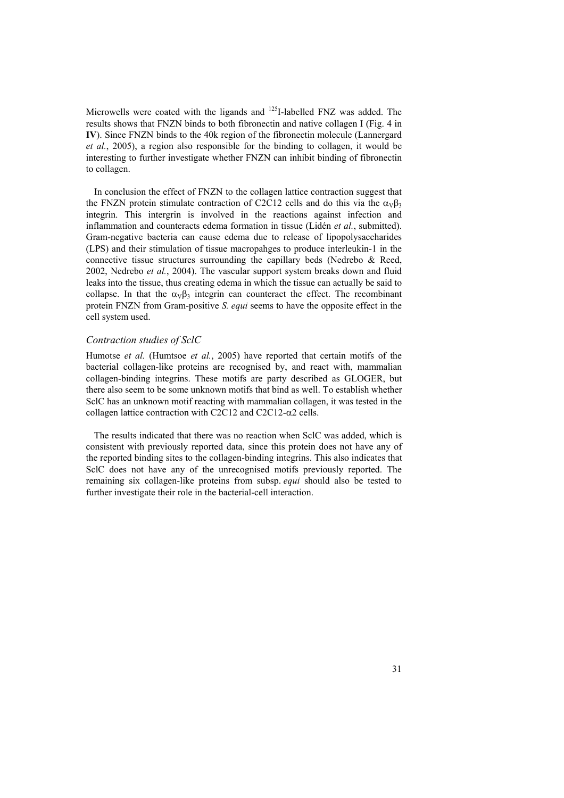Microwells were coated with the ligands and <sup>125</sup>I-labelled FNZ was added. The results shows that FNZN binds to both fibronectin and native collagen I (Fig. 4 in **IV**). Since FNZN binds to the 40k region of the fibronectin molecule (Lannergard *et al.*, 2005), a region also responsible for the binding to collagen, it would be interesting to further investigate whether FNZN can inhibit binding of fibronectin to collagen.

In conclusion the effect of FNZN to the collagen lattice contraction suggest that the FNZN protein stimulate contraction of C2C12 cells and do this via the  $\alpha_v\beta_3$ integrin. This intergrin is involved in the reactions against infection and inflammation and counteracts edema formation in tissue (Lidén *et al.*, submitted). Gram-negative bacteria can cause edema due to release of lipopolysaccharides (LPS) and their stimulation of tissue macropahges to produce interleukin-1 in the connective tissue structures surrounding the capillary beds (Nedrebo & Reed, 2002, Nedrebo *et al.*, 2004). The vascular support system breaks down and fluid leaks into the tissue, thus creating edema in which the tissue can actually be said to collapse. In that the  $\alpha_V\beta_3$  integrin can counteract the effect. The recombinant protein FNZN from Gram-positive *S. equi* seems to have the opposite effect in the cell system used.

#### *Contraction studies of SclC*

Humotse *et al.* (Humtsoe *et al.*, 2005) have reported that certain motifs of the bacterial collagen-like proteins are recognised by, and react with, mammalian collagen-binding integrins. These motifs are party described as GLOGER, but there also seem to be some unknown motifs that bind as well. To establish whether SclC has an unknown motif reacting with mammalian collagen, it was tested in the collagen lattice contraction with C2C12 and C2C12- $\alpha$ 2 cells.

The results indicated that there was no reaction when SclC was added, which is consistent with previously reported data, since this protein does not have any of the reported binding sites to the collagen-binding integrins. This also indicates that SclC does not have any of the unrecognised motifs previously reported. The remaining six collagen-like proteins from subsp. *equi* should also be tested to further investigate their role in the bacterial-cell interaction.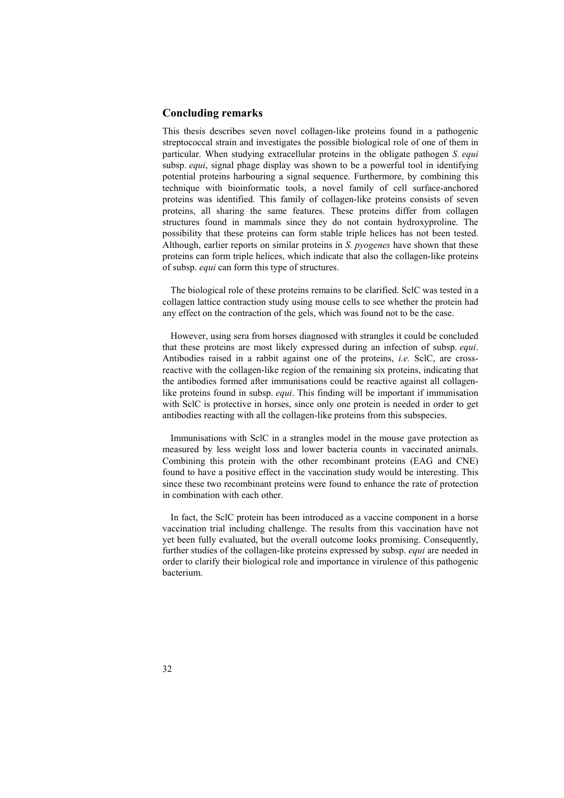## **Concluding remarks**

This thesis describes seven novel collagen-like proteins found in a pathogenic streptococcal strain and investigates the possible biological role of one of them in particular. When studying extracellular proteins in the obligate pathogen *S. equi* subsp. *equi*, signal phage display was shown to be a powerful tool in identifying potential proteins harbouring a signal sequence. Furthermore, by combining this technique with bioinformatic tools, a novel family of cell surface-anchored proteins was identified. This family of collagen-like proteins consists of seven proteins, all sharing the same features. These proteins differ from collagen structures found in mammals since they do not contain hydroxyproline. The possibility that these proteins can form stable triple helices has not been tested. Although, earlier reports on similar proteins in *S. pyogenes* have shown that these proteins can form triple helices, which indicate that also the collagen-like proteins of subsp. *equi* can form this type of structures.

The biological role of these proteins remains to be clarified. SclC was tested in a collagen lattice contraction study using mouse cells to see whether the protein had any effect on the contraction of the gels, which was found not to be the case.

However, using sera from horses diagnosed with strangles it could be concluded that these proteins are most likely expressed during an infection of subsp. *equi*. Antibodies raised in a rabbit against one of the proteins, *i.e.* SclC, are crossreactive with the collagen-like region of the remaining six proteins, indicating that the antibodies formed after immunisations could be reactive against all collagenlike proteins found in subsp. *equi*. This finding will be important if immunisation with SclC is protective in horses, since only one protein is needed in order to get antibodies reacting with all the collagen-like proteins from this subspecies.

Immunisations with SclC in a strangles model in the mouse gave protection as measured by less weight loss and lower bacteria counts in vaccinated animals. Combining this protein with the other recombinant proteins (EAG and CNE) found to have a positive effect in the vaccination study would be interesting. This since these two recombinant proteins were found to enhance the rate of protection in combination with each other.

In fact, the SclC protein has been introduced as a vaccine component in a horse vaccination trial including challenge. The results from this vaccination have not yet been fully evaluated, but the overall outcome looks promising. Consequently, further studies of the collagen-like proteins expressed by subsp. *equi* are needed in order to clarify their biological role and importance in virulence of this pathogenic bacterium.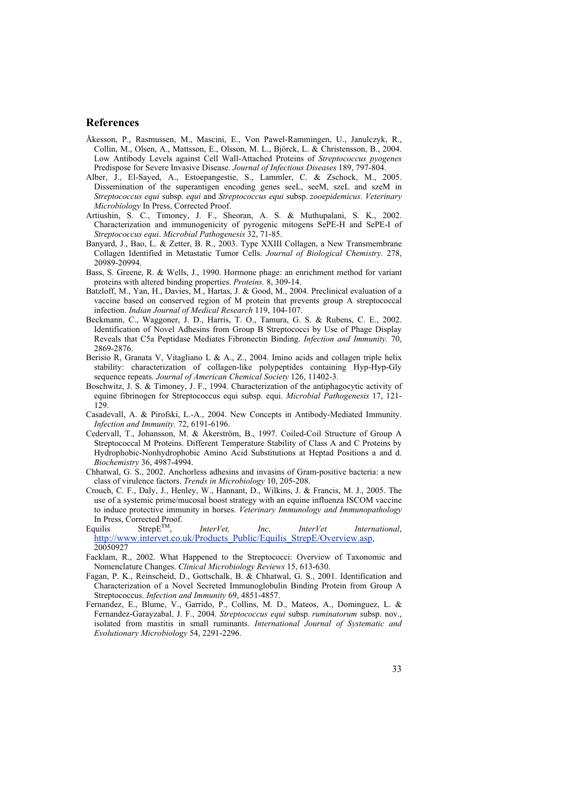## **References**

- Åkesson, P., Rasmussen, M., Mascini, E., Von Pawel-Rammingen, U., Janulczyk, R., Collin, M., Olsen, A., Mattsson, E., Olsson, M. L., Björck, L. & Christensson, B., 2004. Low Antibody Levels against Cell Wall-Attached Proteins of *Streptococcus pyogenes* Predispose for Severe Invasive Disease. *Journal of Infectious Diseases* 189, 797-804.
- Alber, J., El-Sayed, A., Estoepangestie, S., Lammler, C. & Zschock, M., 2005. Dissemination of the superantigen encoding genes seeL, seeM, szeL and szeM in *Streptococcus equi* subsp. *equi* and *Streptococcus equi* subsp. *zooepidemicus*. *Veterinary Microbiology* In Press, Corrected Proof.
- Artiushin, S. C., Timoney, J. F., Sheoran, A. S. & Muthupalani, S. K., 2002. Characterization and immunogenicity of pyrogenic mitogens SePE-H and SePE-I of *Streptococcus equi*. *Microbial Pathogenesis* 32, 71-85.
- Banyard, J., Bao, L. & Zetter, B. R., 2003. Type XXIII Collagen, a New Transmembrane Collagen Identified in Metastatic Tumor Cells. *Journal of Biological Chemistry.* 278, 20989-20994.
- Bass, S. Greene, R. & Wells, J., 1990. Hormone phage: an enrichment method for variant proteins with altered binding properties. *Proteins.* 8, 309-14.
- Batzloff, M., Yan, H., Davies, M., Hartas, J. & Good, M., 2004. Preclinical evaluation of a vaccine based on conserved region of M protein that prevents group A streptococcal infection. *Indian Journal of Medical Research* 119, 104-107.
- Beckmann, C., Waggoner, J. D., Harris, T. O., Tamura, G. S. & Rubens, C. E., 2002. Identification of Novel Adhesins from Group B Streptococci by Use of Phage Display Reveals that C5a Peptidase Mediates Fibronectin Binding. *Infection and Immunity.* 70, 2869-2876.
- Berisio R, Granata V, Vitagliano L & A., Z., 2004. Imino acids and collagen triple helix stability: characterization of collagen-like polypeptides containing Hyp-Hyp-Gly sequence repeats. *Journal of American Chemical Society* 126, 11402-3.
- Boschwitz, J. S. & Timoney, J. F., 1994. Characterization of the antiphagocytic activity of equine fibrinogen for Streptococcus equi subsp. equi. *Microbial Pathogenesis* 17, 121- 129.

Casadevall, A. & Pirofski, L.-A., 2004. New Concepts in Antibody-Mediated Immunity. *Infection and Immunity.* 72, 6191-6196.

- Cedervall, T., Johansson, M. & Åkerström, B., 1997. Coiled-Coil Structure of Group A Streptococcal M Proteins. Different Temperature Stability of Class A and C Proteins by Hydrophobic-Nonhydrophobic Amino Acid Substitutions at Heptad Positions a and d. *Biochemistry* 36, 4987-4994.
- Chhatwal, G. S., 2002. Anchorless adhesins and invasins of Gram-positive bacteria: a new class of virulence factors. *Trends in Microbiology* 10, 205-208.
- Crouch, C. F., Daly, J., Henley, W., Hannant, D., Wilkins, J. & Francis, M. J., 2005. The use of a systemic prime/mucosal boost strategy with an equine influenza ISCOM vaccine to induce protective immunity in horses. *Veterinary Immunology and Immunopathology*  In Press, Corrected Proof.<br>quilis Strep $E^{TM}$ .

Equilis  $\text{Step } E^{TM}$ , *InterVet, Inc, InterVet International*, http://www.intervet.co.uk/Products\_Public/Equilis\_StrepE/Overview.asp, 20050927

- Facklam, R., 2002. What Happened to the Streptococci: Overview of Taxonomic and Nomenclature Changes. *Clinical Microbiology Reviews* 15, 613-630.
- Fagan, P. K., Reinscheid, D., Gottschalk, B. & Chhatwal, G. S., 2001. Identification and Characterization of a Novel Secreted Immunoglobulin Binding Protein from Group A Streptococcus. *Infection and Immunity* 69, 4851-4857.
- Fernandez, E., Blume, V., Garrido, P., Collins, M. D., Mateos, A., Dominguez, L. & Fernandez-Garayzabal, J. F., 2004. *Streptococcus equi* subsp. *ruminatorum* subsp. nov., isolated from mastitis in small ruminants. *International Journal of Systematic and Evolutionary Microbiology* 54, 2291-2296.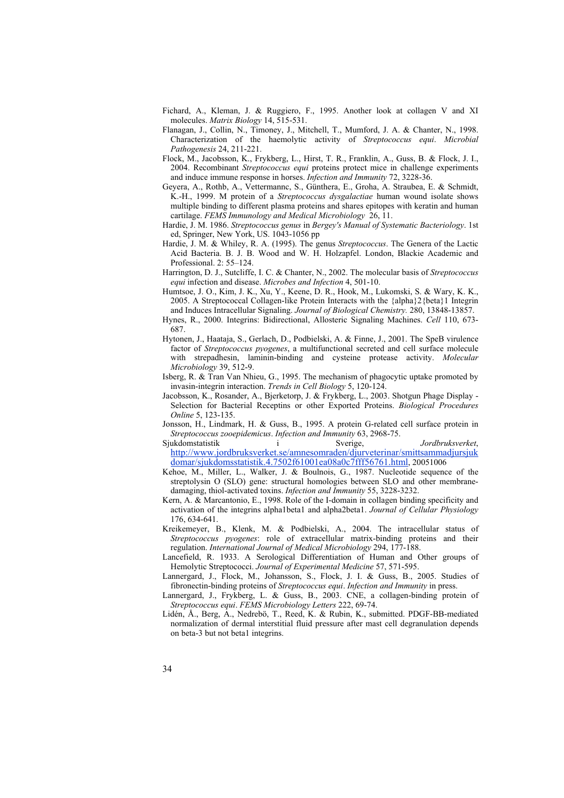- Fichard, A., Kleman, J. & Ruggiero, F., 1995. Another look at collagen V and XI molecules. *Matrix Biology* 14, 515-531.
- Flanagan, J., Collin, N., Timoney, J., Mitchell, T., Mumford, J. A. & Chanter, N., 1998. Characterization of the haemolytic activity of *Streptococcus equi*. *Microbial Pathogenesis* 24, 211-221.
- Flock, M., Jacobsson, K., Frykberg, L., Hirst, T. R., Franklin, A., Guss, B. & Flock, J. I., 2004. Recombinant *Streptococcus equi* proteins protect mice in challenge experiments and induce immune response in horses. *Infection and Immunity* 72, 3228-36.
- Geyera, A., Rothb, A., Vettermannc, S., Günthera, E., Groha, A. Straubea, E. & Schmidt, K.-H., 1999. M protein of a *Streptococcus dysgalactiae* human wound isolate shows multiple binding to different plasma proteins and shares epitopes with keratin and human cartilage. *FEMS Immunology and Medical Microbiology* 26, 11.
- Hardie, J. M. 1986. *Streptococcus genus* in *Bergey's Manual of Systematic Bacteriology*. 1st ed, Springer, New York, US. 1043-1056 pp
- Hardie, J. M. & Whiley, R. A. (1995). The genus *Streptococcus*. The Genera of the Lactic Acid Bacteria. B. J. B. Wood and W. H. Holzapfel. London, Blackie Academic and Professional. 2: 55–124.
- Harrington, D. J., Sutcliffe, I. C. & Chanter, N., 2002. The molecular basis of *Streptococcus equi* infection and disease. *Microbes and Infection* 4, 501-10.
- Humtsoe, J. O., Kim, J. K., Xu, Y., Keene, D. R., Hook, M., Lukomski, S. & Wary, K. K., 2005. A Streptococcal Collagen-like Protein Interacts with the {alpha}2{beta}1 Integrin and Induces Intracellular Signaling. *Journal of Biological Chemistry.* 280, 13848-13857.
- Hynes, R., 2000. Integrins: Bidirectional, Allosteric Signaling Machines. *Cell* 110, 673- 687.
- Hytonen, J., Haataja, S., Gerlach, D., Podbielski, A. & Finne, J., 2001. The SpeB virulence factor of *Streptococcus pyogenes*, a multifunctional secreted and cell surface molecule with strepadhesin, laminin-binding and cysteine protease activity. *Molecular Microbiology* 39, 512-9.
- Isberg, R. & Tran Van Nhieu, G., 1995. The mechanism of phagocytic uptake promoted by invasin-integrin interaction. *Trends in Cell Biology* 5, 120-124.
- Jacobsson, K., Rosander, A., Bjerketorp, J. & Frykberg, L., 2003. Shotgun Phage Display Selection for Bacterial Receptins or other Exported Proteins. *Biological Procedures Online* 5, 123-135.
- Jonsson, H., Lindmark, H. & Guss, B., 1995. A protein G-related cell surface protein in *Streptococcus zooepidemicus*. *Infection and Immunity* 63, 2968-75.
- Sjukdomstatistik i Sverige, *Jordbruksverket*, http://www.jordbruksverket.se/amnesomraden/djurveterinar/smittsammadjursjuk domar/sjukdomsstatistik.4.7502f61001ea08a0c7fff56761.html, 20051006
- Kehoe, M., Miller, L., Walker, J. & Boulnois, G., 1987. Nucleotide sequence of the streptolysin O (SLO) gene: structural homologies between SLO and other membranedamaging, thiol-activated toxins. *Infection and Immunity* 55, 3228-3232.
- Kern, A. & Marcantonio, E., 1998. Role of the I-domain in collagen binding specificity and activation of the integrins alpha1beta1 and alpha2beta1. *Journal of Cellular Physiology* 176, 634-641.
- Kreikemeyer, B., Klenk, M. & Podbielski, A., 2004. The intracellular status of *Streptococcus pyogenes*: role of extracellular matrix-binding proteins and their regulation. *International Journal of Medical Microbiology* 294, 177-188.
- Lancefield, R. 1933. A Serological Differentiation of Human and Other groups of Hemolytic Streptococci. *Journal of Experimental Medicine* 57, 571-595.
- Lannergard, J., Flock, M., Johansson, S., Flock, J. I. & Guss, B., 2005. Studies of fibronectin-binding proteins of *Streptococcus equi*. *Infection and Immunity* in press.
- Lannergard, J., Frykberg, L. & Guss, B., 2003. CNE, a collagen-binding protein of *Streptococcus equi*. *FEMS Microbiology Letters* 222, 69-74.
- Lidén, Å., Berg, A., Nedrebö, T., Reed, K. & Rubin, K., submitted. PDGF-BB-mediated normalization of dermal interstitial fluid pressure after mast cell degranulation depends on beta-3 but not beta1 integrins.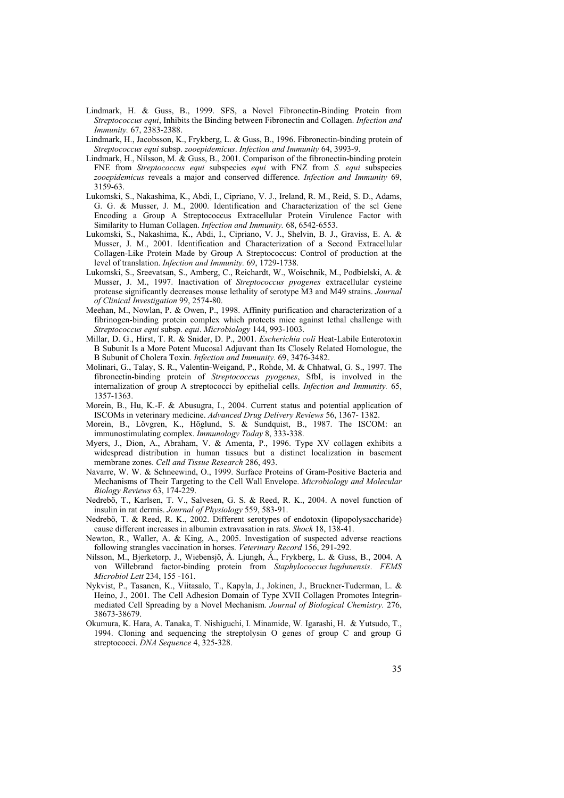- Lindmark, H. & Guss, B., 1999. SFS, a Novel Fibronectin-Binding Protein from *Streptococcus equi*, Inhibits the Binding between Fibronectin and Collagen. *Infection and Immunity.* 67, 2383-2388.
- Lindmark, H., Jacobsson, K., Frykberg, L. & Guss, B., 1996. Fibronectin-binding protein of *Streptococcus equi* subsp. *zooepidemicus*. *Infection and Immunity* 64, 3993-9.
- Lindmark, H., Nilsson, M. & Guss, B., 2001. Comparison of the fibronectin-binding protein FNE from *Streptococcus equi* subspecies *equi* with FNZ from *S. equi* subspecies *zooepidemicus* reveals a major and conserved difference. *Infection and Immunity* 69, 3159-63.
- Lukomski, S., Nakashima, K., Abdi, I., Cipriano, V. J., Ireland, R. M., Reid, S. D., Adams, G. G. & Musser, J. M., 2000. Identification and Characterization of the scl Gene Encoding a Group A Streptococcus Extracellular Protein Virulence Factor with Similarity to Human Collagen. *Infection and Immunity.* 68, 6542-6553.
- Lukomski, S., Nakashima, K., Abdi, I., Cipriano, V. J., Shelvin, B. J., Graviss, E. A. & Musser, J. M., 2001. Identification and Characterization of a Second Extracellular Collagen-Like Protein Made by Group A Streptococcus: Control of production at the level of translation. *Infection and Immunity.* 69, 1729-1738.
- Lukomski, S., Sreevatsan, S., Amberg, C., Reichardt, W., Woischnik, M., Podbielski, A. & Musser, J. M., 1997. Inactivation of *Streptococcus pyogenes* extracellular cysteine protease significantly decreases mouse lethality of serotype M3 and M49 strains. *Journal of Clinical Investigation* 99, 2574-80.
- Meehan, M., Nowlan, P. & Owen, P., 1998. Affinity purification and characterization of a fibrinogen-binding protein complex which protects mice against lethal challenge with *Streptococcus equi* subsp. *equi*. *Microbiology* 144, 993-1003.
- Millar, D. G., Hirst, T. R. & Snider, D. P., 2001. *Escherichia coli* Heat-Labile Enterotoxin B Subunit Is a More Potent Mucosal Adjuvant than Its Closely Related Homologue, the B Subunit of Cholera Toxin. *Infection and Immunity.* 69, 3476-3482.
- Molinari, G., Talay, S. R., Valentin-Weigand, P., Rohde, M. & Chhatwal, G. S., 1997. The fibronectin-binding protein of *Streptococcus pyogenes*, SfbI, is involved in the internalization of group A streptococci by epithelial cells. *Infection and Immunity.* 65, 1357-1363.
- Morein, B., Hu, K.-F. & Abusugra, I., 2004. Current status and potential application of ISCOMs in veterinary medicine. *Advanced Drug Delivery Reviews* 56, 1367- 1382.
- Morein, B., Lövgren, K., Höglund, S. & Sundquist, B., 1987. The ISCOM: an immunostimulating complex. *Immunology Today* 8, 333-338.
- Myers, J., Dion, A., Abraham, V. & Amenta, P., 1996. Type XV collagen exhibits a widespread distribution in human tissues but a distinct localization in basement membrane zones. *Cell and Tissue Research* 286, 493.
- Navarre, W. W. & Schneewind, O., 1999. Surface Proteins of Gram-Positive Bacteria and Mechanisms of Their Targeting to the Cell Wall Envelope. *Microbiology and Molecular Biology Reviews* 63, 174-229.
- Nedrebö, T., Karlsen, T. V., Salvesen, G. S. & Reed, R. K., 2004. A novel function of insulin in rat dermis. *Journal of Physiology* 559, 583-91.
- Nedrebö, T. & Reed, R. K., 2002. Different serotypes of endotoxin (lipopolysaccharide) cause different increases in albumin extravasation in rats. *Shock* 18, 138-41.
- Newton, R., Waller, A. & King, A., 2005. Investigation of suspected adverse reactions following strangles vaccination in horses. *Veterinary Record* 156, 291-292.
- Nilsson, M., Bjerketorp, J., Wiebensjö, Å. Ljungh, Å., Frykberg, L. & Guss, B., 2004. A von Willebrand factor-binding protein from *Staphylococcus lugdunensis*. *FEMS Microbiol Lett* 234, 155 -161.
- Nykvist, P., Tasanen, K., Viitasalo, T., Kapyla, J., Jokinen, J., Bruckner-Tuderman, L. & Heino, J., 2001. The Cell Adhesion Domain of Type XVII Collagen Promotes Integrinmediated Cell Spreading by a Novel Mechanism. *Journal of Biological Chemistry.* 276, 38673-38679.
- Okumura, K. Hara, A. Tanaka, T. Nishiguchi, I. Minamide, W. Igarashi, H. & Yutsudo, T., 1994. Cloning and sequencing the streptolysin O genes of group C and group G streptococci. *DNA Sequence* 4, 325-328.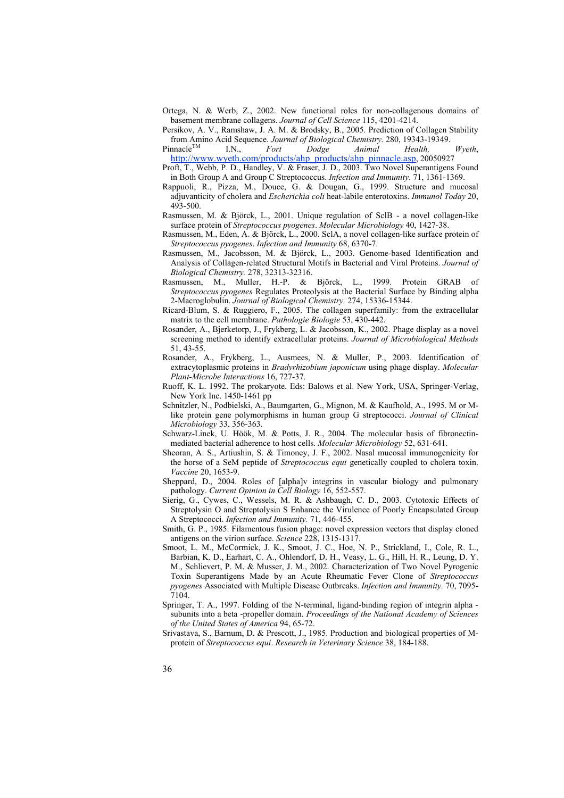- Ortega, N. & Werb, Z., 2002. New functional roles for non-collagenous domains of basement membrane collagens. *Journal of Cell Science* 115, 4201-4214.
- Persikov, A. V., Ramshaw, J. A. M. & Brodsky, B., 2005. Prediction of Collagen Stability from Amino Acid Sequence. *Journal of Biological Chemistry.* 280, 19343-19349.
- PinnacleTM I.N., *Fort Dodge Animal Health, Wyeth*, http://www.wyeth.com/products/ahp\_products/ahp\_pinnacle.asp, 20050927
- Proft, T., Webb, P. D., Handley, V. & Fraser, J. D., 2003. Two Novel Superantigens Found in Both Group A and Group C Streptococcus. *Infection and Immunity.* 71, 1361-1369.
- Rappuoli, R., Pizza, M., Douce, G. & Dougan, G., 1999. Structure and mucosal adjuvanticity of cholera and *Escherichia coli* heat-labile enterotoxins. *Immunol Today* 20, 493-500.
- Rasmussen, M. & Björck, L., 2001. Unique regulation of SclB a novel collagen-like surface protein of *Streptococcus pyogenes*. *Molecular Microbiology* 40, 1427-38.
- Rasmussen, M., Eden, A. & Björck, L., 2000. SclA, a novel collagen-like surface protein of *Streptococcus pyogenes*. *Infection and Immunity* 68, 6370-7.
- Rasmussen, M., Jacobsson, M. & Björck, L., 2003. Genome-based Identification and Analysis of Collagen-related Structural Motifs in Bacterial and Viral Proteins. *Journal of Biological Chemistry.* 278, 32313-32316.
- Rasmussen, M., Muller, H.-P. & Björck, L., 1999. Protein GRAB of *Streptococcus pyogenes* Regulates Proteolysis at the Bacterial Surface by Binding alpha 2-Macroglobulin. *Journal of Biological Chemistry.* 274, 15336-15344.
- Ricard-Blum, S. & Ruggiero, F., 2005. The collagen superfamily: from the extracellular matrix to the cell membrane. *Pathologie Biologie* 53, 430-442.
- Rosander, A., Bjerketorp, J., Frykberg, L. & Jacobsson, K., 2002. Phage display as a novel screening method to identify extracellular proteins. *Journal of Microbiological Methods* 51, 43-55.
- Rosander, A., Frykberg, L., Ausmees, N. & Muller, P., 2003. Identification of extracytoplasmic proteins in *Bradyrhizobium japonicum* using phage display. *Molecular Plant-Microbe Interactions* 16, 727-37.
- Ruoff, K. L. 1992. The prokaryote. Eds: Balows et al. New York, USA, Springer-Verlag, New York Inc. 1450-1461 pp
- Schnitzler, N., Podbielski, A., Baumgarten, G., Mignon, M. & Kaufhold, A., 1995. M or Mlike protein gene polymorphisms in human group G streptococci. *Journal of Clinical Microbiology* 33, 356-363.
- Schwarz-Linek, U. Höök, M. & Potts, J. R., 2004. The molecular basis of fibronectinmediated bacterial adherence to host cells. *Molecular Microbiology* 52, 631-641.
- Sheoran, A. S., Artiushin, S. & Timoney, J. F., 2002. Nasal mucosal immunogenicity for the horse of a SeM peptide of *Streptococcus equi* genetically coupled to cholera toxin. *Vaccine* 20, 1653-9.
- Sheppard, D., 2004. Roles of [alpha]v integrins in vascular biology and pulmonary pathology. *Current Opinion in Cell Biology* 16, 552-557.
- Sierig, G., Cywes, C., Wessels, M. R. & Ashbaugh, C. D., 2003. Cytotoxic Effects of Streptolysin O and Streptolysin S Enhance the Virulence of Poorly Encapsulated Group A Streptococci. *Infection and Immunity.* 71, 446-455.
- Smith, G. P., 1985. Filamentous fusion phage: novel expression vectors that display cloned antigens on the virion surface. *Science* 228, 1315-1317.
- Smoot, L. M., McCormick, J. K., Smoot, J. C., Hoe, N. P., Strickland, I., Cole, R. L., Barbian, K. D., Earhart, C. A., Ohlendorf, D. H., Veasy, L. G., Hill, H. R., Leung, D. Y. M., Schlievert, P. M. & Musser, J. M., 2002. Characterization of Two Novel Pyrogenic Toxin Superantigens Made by an Acute Rheumatic Fever Clone of *Streptococcus pyogenes* Associated with Multiple Disease Outbreaks. *Infection and Immunity.* 70, 7095- 7104.
- Springer, T. A., 1997. Folding of the N-terminal, ligand-binding region of integrin alpha subunits into a beta -propeller domain. *Proceedings of the National Academy of Sciences of the United States of America* 94, 65-72.
- Srivastava, S., Barnum, D. & Prescott, J., 1985. Production and biological properties of Mprotein of *Streptococcus equi*. *Research in Veterinary Science* 38, 184-188.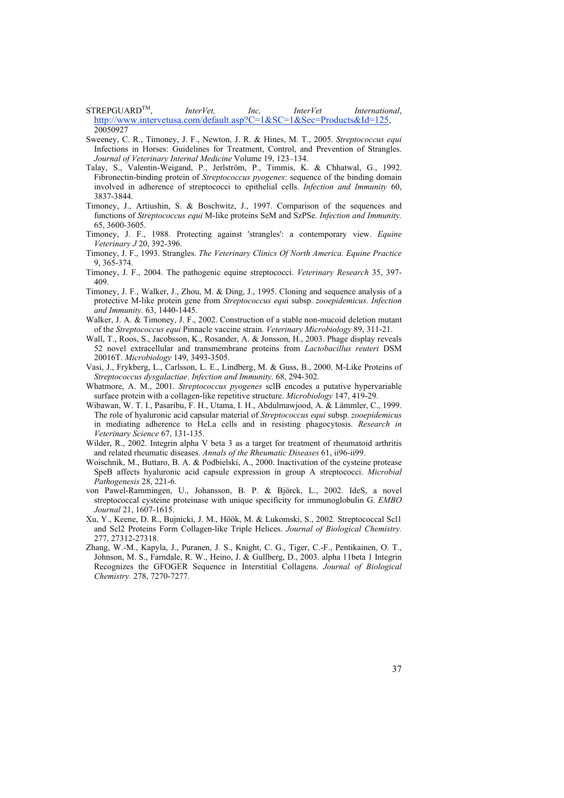STREPGUARDTM, *InterVet, Inc, InterVet International*, http://www.intervetusa.com/default.asp?C=1&SC=1&Sec=Products&Id=125, 20050927

Sweeney, C. R., Timoney, J. F., Newton, J. R. & Hines, M. T., 2005. *Streptococcus equi*  Infections in Horses: Guidelines for Treatment, Control, and Prevention of Strangles. *Journal of Veterinary Internal Medicine* Volume 19, 123–134.

- Talay, S., Valentin-Weigand, P., Jerlström, P., Timmis, K. & Chhatwal, G., 1992. Fibronectin-binding protein of *Streptococcus pyogenes*: sequence of the binding domain involved in adherence of streptococci to epithelial cells. *Infection and Immunity* 60, 3837-3844.
- Timoney, J., Artiushin, S. & Boschwitz, J., 1997. Comparison of the sequences and functions of *Streptococcus equi* M-like proteins SeM and SzPSe. *Infection and Immunity.* 65, 3600-3605.
- Timoney, J. F., 1988. Protecting against 'strangles': a contemporary view. *Equine Veterinary J* 20, 392-396.
- Timoney, J. F., 1993. Strangles. *The Veterinary Clinics Of North America. Equine Practice* 9, 365-374.
- Timoney, J. F., 2004. The pathogenic equine streptococci. *Veterinary Research* 35, 397- 409.
- Timoney, J. F., Walker, J., Zhou, M. & Ding, J., 1995. Cloning and sequence analysis of a protective M-like protein gene from *Streptococcus equ*i subsp. *zooepidemicus*. *Infection and Immunity.* 63, 1440-1445.
- Walker, J. A. & Timoney, J. F., 2002. Construction of a stable non-mucoid deletion mutant of the *Streptococcus equi* Pinnacle vaccine strain. *Veterinary Microbiology* 89, 311-21.
- Wall, T., Roos, S., Jacobsson, K., Rosander, A. & Jonsson, H., 2003. Phage display reveals 52 novel extracellular and transmembrane proteins from *Lactobacillus reuteri* DSM 20016T. *Microbiology* 149, 3493-3505.
- Vasi, J., Frykberg, L., Carlsson, L. E., Lindberg, M. & Guss, B., 2000. M-Like Proteins of *Streptococcus dysgalactiae*. *Infection and Immunity.* 68, 294-302.
- Whatmore, A. M., 2001. *Streptococcus pyogenes* sclB encodes a putative hypervariable surface protein with a collagen-like repetitive structure. *Microbiology* 147, 419-29.
- Wibawan, W. T. I., Pasaribu, F. H., Utama, I. H., Abdulmawjood, A. & Lämmler, C., 1999. The role of hyaluronic acid capsular material of *Streptococcus equi* subsp. *zooepidemicus* in mediating adherence to HeLa cells and in resisting phagocytosis. *Research in Veterinary Science* 67, 131-135.
- Wilder, R., 2002. Integrin alpha V beta 3 as a target for treatment of rheumatoid arthritis and related rheumatic diseases. *Annals of the Rheumatic Diseases* 61, ii96-ii99.
- Woischnik, M., Buttaro, B. A. & Podbielski, A., 2000. Inactivation of the cysteine protease SpeB affects hyaluronic acid capsule expression in group A streptococci. *Microbial Pathogenesis* 28, 221-6.
- von Pawel-Rammingen, U., Johansson, B. P. & Björck, L., 2002. IdeS, a novel streptococcal cysteine proteinase with unique specificity for immunoglobulin G. *EMBO Journal* 21, 1607-1615.
- Xu, Y., Keene, D. R., Bujnicki, J. M., Höök, M. & Lukomski, S., 2002. Streptococcal Scl1 and Scl2 Proteins Form Collagen-like Triple Helices. *Journal of Biological Chemistry.* 277, 27312-27318.
- Zhang, W.-M., Kapyla, J., Puranen, J. S., Knight, C. G., Tiger, C.-F., Pentikainen, O. T., Johnson, M. S., Farndale, R. W., Heino, J. & Gullberg, D., 2003. alpha 11beta 1 Integrin Recognizes the GFOGER Sequence in Interstitial Collagens. *Journal of Biological Chemistry.* 278, 7270-7277.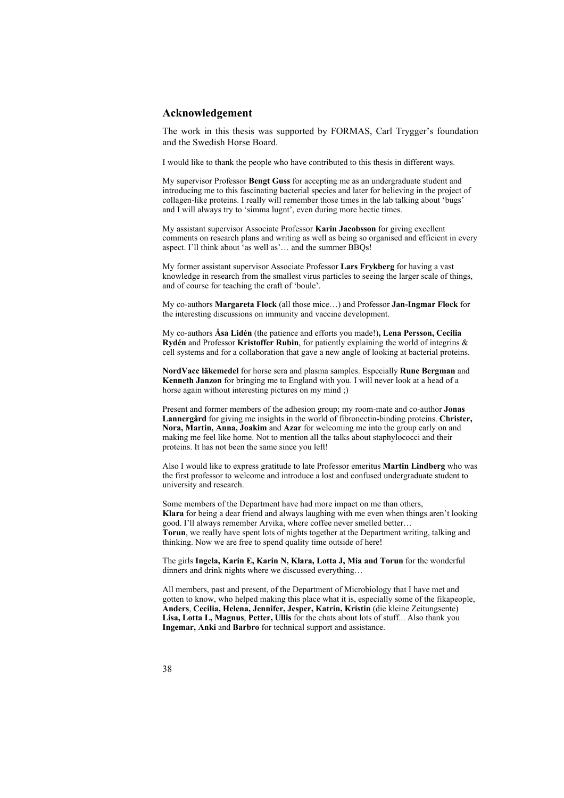## **Acknowledgement**

The work in this thesis was supported by FORMAS, Carl Trygger's foundation and the Swedish Horse Board.

I would like to thank the people who have contributed to this thesis in different ways.

My supervisor Professor **Bengt Guss** for accepting me as an undergraduate student and introducing me to this fascinating bacterial species and later for believing in the project of collagen-like proteins. I really will remember those times in the lab talking about 'bugs' and I will always try to 'simma lugnt', even during more hectic times.

My assistant supervisor Associate Professor **Karin Jacobsson** for giving excellent comments on research plans and writing as well as being so organised and efficient in every aspect. I'll think about  $\hat{a}$  as well as'... and the summer BBOs!

My former assistant supervisor Associate Professor **Lars Frykberg** for having a vast knowledge in research from the smallest virus particles to seeing the larger scale of things, and of course for teaching the craft of 'boule'.

My co-authors **Margareta Flock** (all those mice…) and Professor **Jan-Ingmar Flock** for the interesting discussions on immunity and vaccine development.

My co-authors **Åsa Lidén** (the patience and efforts you made!)**, Lena Persson, Cecilia Rydén** and Professor **Kristoffer Rubin**, for patiently explaining the world of integrins & cell systems and for a collaboration that gave a new angle of looking at bacterial proteins.

**NordVacc läkemedel** for horse sera and plasma samples. Especially **Rune Bergman** and **Kenneth Janzon** for bringing me to England with you. I will never look at a head of a horse again without interesting pictures on my mind ;)

Present and former members of the adhesion group; my room-mate and co-author **Jonas Lannergård** for giving me insights in the world of fibronectin-binding proteins. **Christer, Nora, Martin, Anna, Joakim** and **Azar** for welcoming me into the group early on and making me feel like home. Not to mention all the talks about staphylococci and their proteins. It has not been the same since you left!

Also I would like to express gratitude to late Professor emeritus **Martin Lindberg** who was the first professor to welcome and introduce a lost and confused undergraduate student to university and research.

Some members of the Department have had more impact on me than others, **Klara** for being a dear friend and always laughing with me even when things aren't looking good. I'll always remember Arvika, where coffee never smelled better… **Torun**, we really have spent lots of nights together at the Department writing, talking and thinking. Now we are free to spend quality time outside of here!

The girls **Ingela, Karin E, Karin N, Klara, Lotta J, Mia and Torun** for the wonderful dinners and drink nights where we discussed everything…

All members, past and present, of the Department of Microbiology that I have met and gotten to know, who helped making this place what it is, especially some of the fikapeople, **Anders**, **Cecilia, Helena, Jennifer, Jesper, Katrin, Kristin** (die kleine Zeitungsente) **Lisa, Lotta L, Magnus**, **Petter, Ullis** for the chats about lots of stuff... Also thank you **Ingemar, Anki** and **Barbro** for technical support and assistance.